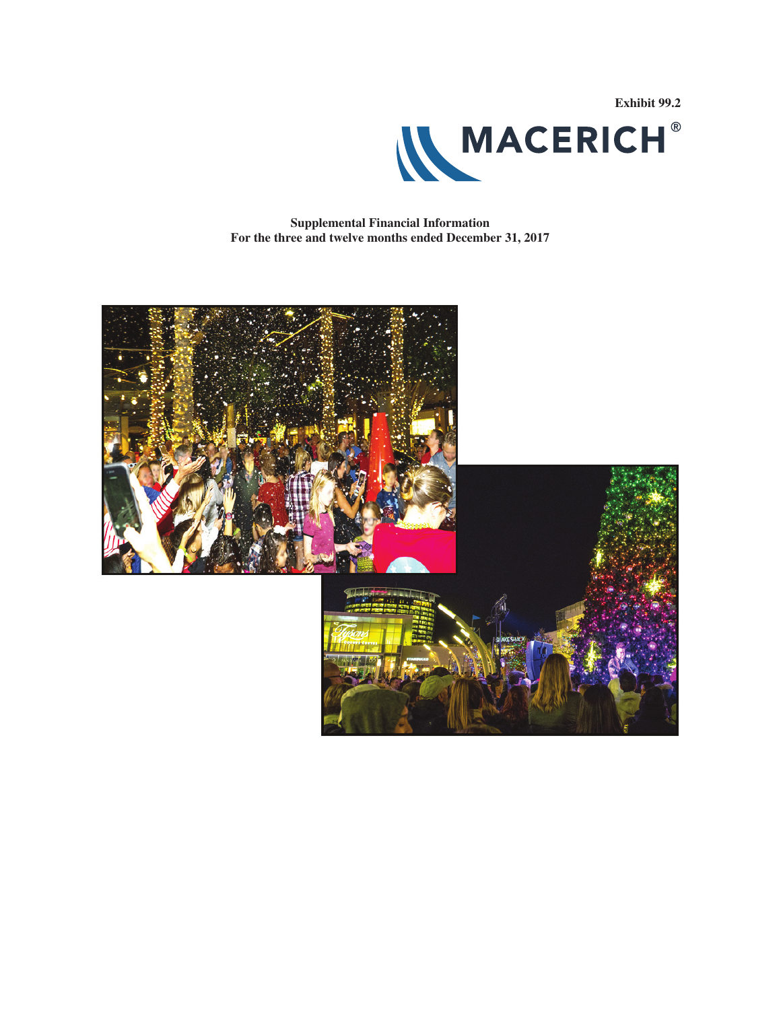

**Supplemental Financial Information For the three and twelve months ended December 31, 2017**

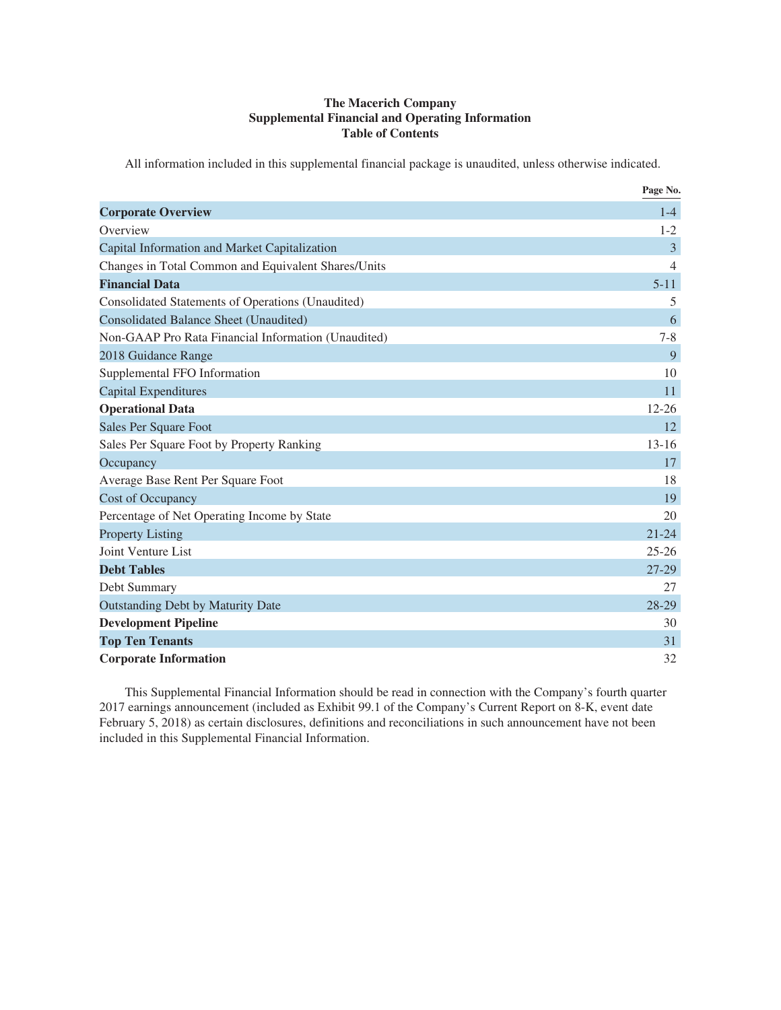### **The Macerich Company Supplemental Financial and Operating Information Table of Contents**

All information included in this supplemental financial package is unaudited, unless otherwise indicated.

|                                                     | Page No.  |
|-----------------------------------------------------|-----------|
| <b>Corporate Overview</b>                           | $1-4$     |
| Overview                                            | $1 - 2$   |
| Capital Information and Market Capitalization       | 3         |
| Changes in Total Common and Equivalent Shares/Units | 4         |
| <b>Financial Data</b>                               | $5 - 11$  |
| Consolidated Statements of Operations (Unaudited)   | 5         |
| <b>Consolidated Balance Sheet (Unaudited)</b>       | 6         |
| Non-GAAP Pro Rata Financial Information (Unaudited) | $7 - 8$   |
| 2018 Guidance Range                                 | 9         |
| Supplemental FFO Information                        | 10        |
| <b>Capital Expenditures</b>                         | 11        |
| <b>Operational Data</b>                             | $12 - 26$ |
| Sales Per Square Foot                               | 12        |
| Sales Per Square Foot by Property Ranking           | $13 - 16$ |
| Occupancy                                           | 17        |
| Average Base Rent Per Square Foot                   | 18        |
| <b>Cost of Occupancy</b>                            | 19        |
| Percentage of Net Operating Income by State         | 20        |
| <b>Property Listing</b>                             | $21 - 24$ |
| Joint Venture List                                  | $25 - 26$ |
| <b>Debt Tables</b>                                  | 27-29     |
| Debt Summary                                        | 27        |
| <b>Outstanding Debt by Maturity Date</b>            | 28-29     |
| <b>Development Pipeline</b>                         | 30        |
| <b>Top Ten Tenants</b>                              | 31        |
| <b>Corporate Information</b>                        | 32        |

This Supplemental Financial Information should be read in connection with the Company's fourth quarter 2017 earnings announcement (included as Exhibit 99.1 of the Company's Current Report on 8-K, event date February 5, 2018) as certain disclosures, definitions and reconciliations in such announcement have not been included in this Supplemental Financial Information.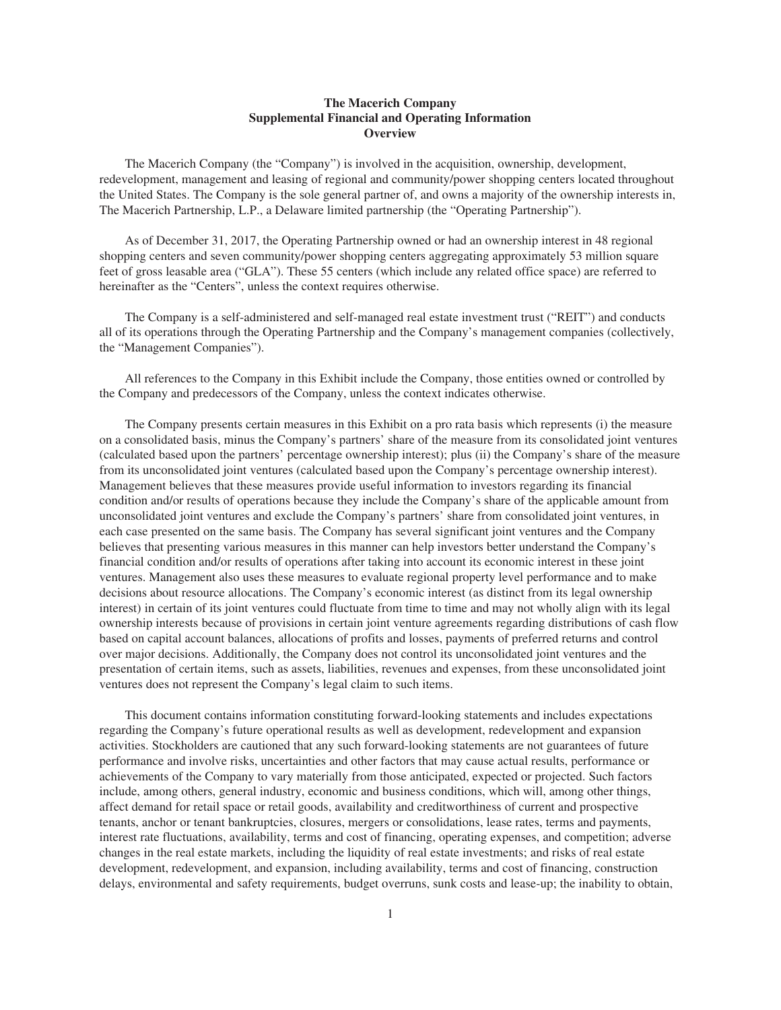### **The Macerich Company Supplemental Financial and Operating Information Overview**

The Macerich Company (the "Company") is involved in the acquisition, ownership, development, redevelopment, management and leasing of regional and community/power shopping centers located throughout the United States. The Company is the sole general partner of, and owns a majority of the ownership interests in, The Macerich Partnership, L.P., a Delaware limited partnership (the "Operating Partnership").

As of December 31, 2017, the Operating Partnership owned or had an ownership interest in 48 regional shopping centers and seven community/power shopping centers aggregating approximately 53 million square feet of gross leasable area ("GLA"). These 55 centers (which include any related office space) are referred to hereinafter as the "Centers", unless the context requires otherwise.

The Company is a self-administered and self-managed real estate investment trust ("REIT") and conducts all of its operations through the Operating Partnership and the Company's management companies (collectively, the "Management Companies").

All references to the Company in this Exhibit include the Company, those entities owned or controlled by the Company and predecessors of the Company, unless the context indicates otherwise.

The Company presents certain measures in this Exhibit on a pro rata basis which represents (i) the measure on a consolidated basis, minus the Company's partners' share of the measure from its consolidated joint ventures (calculated based upon the partners' percentage ownership interest); plus (ii) the Company's share of the measure from its unconsolidated joint ventures (calculated based upon the Company's percentage ownership interest). Management believes that these measures provide useful information to investors regarding its financial condition and/or results of operations because they include the Company's share of the applicable amount from unconsolidated joint ventures and exclude the Company's partners' share from consolidated joint ventures, in each case presented on the same basis. The Company has several significant joint ventures and the Company believes that presenting various measures in this manner can help investors better understand the Company's financial condition and/or results of operations after taking into account its economic interest in these joint ventures. Management also uses these measures to evaluate regional property level performance and to make decisions about resource allocations. The Company's economic interest (as distinct from its legal ownership interest) in certain of its joint ventures could fluctuate from time to time and may not wholly align with its legal ownership interests because of provisions in certain joint venture agreements regarding distributions of cash flow based on capital account balances, allocations of profits and losses, payments of preferred returns and control over major decisions. Additionally, the Company does not control its unconsolidated joint ventures and the presentation of certain items, such as assets, liabilities, revenues and expenses, from these unconsolidated joint ventures does not represent the Company's legal claim to such items.

This document contains information constituting forward-looking statements and includes expectations regarding the Company's future operational results as well as development, redevelopment and expansion activities. Stockholders are cautioned that any such forward-looking statements are not guarantees of future performance and involve risks, uncertainties and other factors that may cause actual results, performance or achievements of the Company to vary materially from those anticipated, expected or projected. Such factors include, among others, general industry, economic and business conditions, which will, among other things, affect demand for retail space or retail goods, availability and creditworthiness of current and prospective tenants, anchor or tenant bankruptcies, closures, mergers or consolidations, lease rates, terms and payments, interest rate fluctuations, availability, terms and cost of financing, operating expenses, and competition; adverse changes in the real estate markets, including the liquidity of real estate investments; and risks of real estate development, redevelopment, and expansion, including availability, terms and cost of financing, construction delays, environmental and safety requirements, budget overruns, sunk costs and lease-up; the inability to obtain,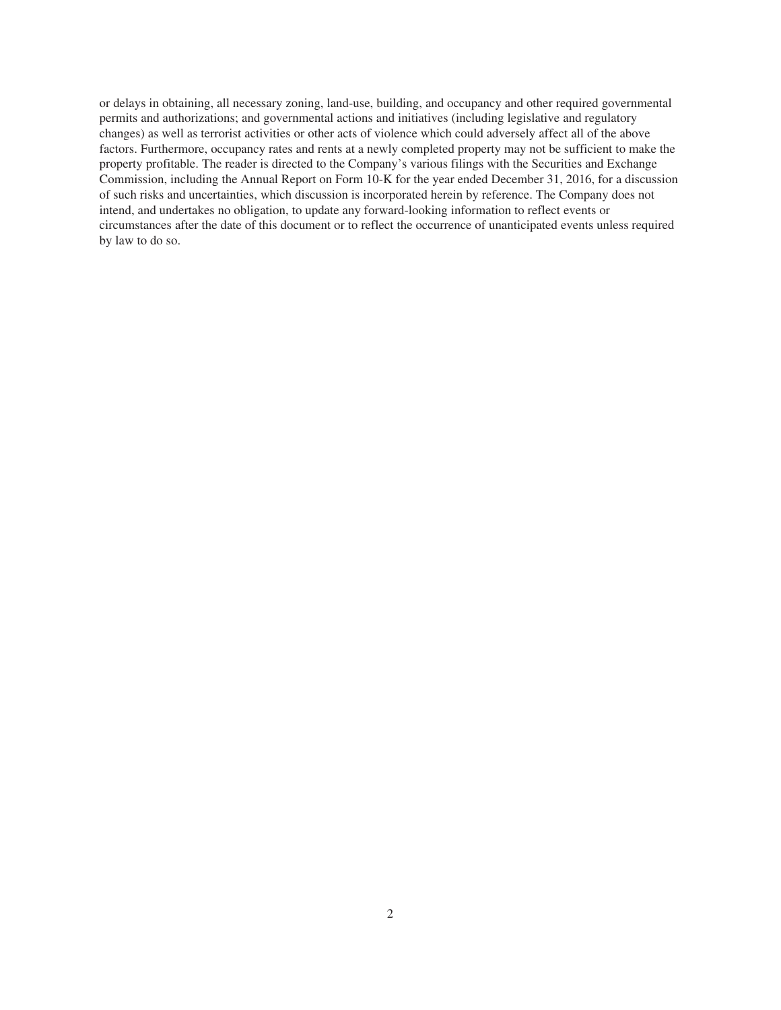or delays in obtaining, all necessary zoning, land-use, building, and occupancy and other required governmental permits and authorizations; and governmental actions and initiatives (including legislative and regulatory changes) as well as terrorist activities or other acts of violence which could adversely affect all of the above factors. Furthermore, occupancy rates and rents at a newly completed property may not be sufficient to make the property profitable. The reader is directed to the Company's various filings with the Securities and Exchange Commission, including the Annual Report on Form 10-K for the year ended December 31, 2016, for a discussion of such risks and uncertainties, which discussion is incorporated herein by reference. The Company does not intend, and undertakes no obligation, to update any forward-looking information to reflect events or circumstances after the date of this document or to reflect the occurrence of unanticipated events unless required by law to do so.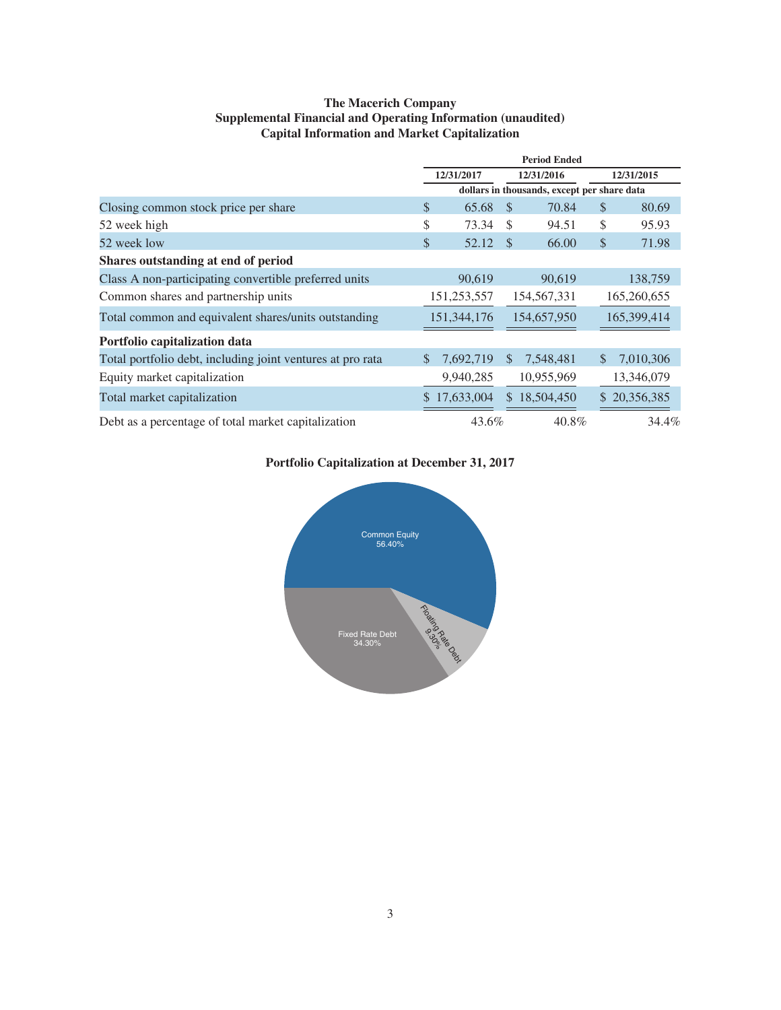### **The Macerich Company Supplemental Financial and Operating Information (unaudited) Capital Information and Market Capitalization**

|                                                            | <b>Period Ended</b> |                          |               |                                             |    |              |
|------------------------------------------------------------|---------------------|--------------------------|---------------|---------------------------------------------|----|--------------|
|                                                            |                     | 12/31/2017<br>12/31/2016 |               | 12/31/2015                                  |    |              |
|                                                            |                     |                          |               | dollars in thousands, except per share data |    |              |
| Closing common stock price per share                       | \$                  | 65.68                    | - \$          | 70.84                                       | S  | 80.69        |
| 52 week high                                               | \$                  | 73.34                    | <sup>\$</sup> | 94.51                                       | \$ | 95.93        |
| 52 week low                                                | \$                  | 52.12                    | - \$          | 66.00                                       | \$ | 71.98        |
| Shares outstanding at end of period                        |                     |                          |               |                                             |    |              |
| Class A non-participating convertible preferred units      |                     | 90,619                   |               | 90,619                                      |    | 138,759      |
| Common shares and partnership units                        |                     | 151,253,557              |               | 154,567,331                                 |    | 165,260,655  |
| Total common and equivalent shares/units outstanding       |                     | 151, 344, 176            |               | 154,657,950                                 |    | 165,399,414  |
| Portfolio capitalization data                              |                     |                          |               |                                             |    |              |
| Total portfolio debt, including joint ventures at pro rata | $\mathbb{S}$        | 7,692,719                | <sup>S</sup>  | 7,548,481                                   | \$ | 7,010,306    |
| Equity market capitalization                               |                     | 9,940,285                |               | 10,955,969                                  |    | 13,346,079   |
| Total market capitalization                                |                     | \$17,633,004             |               | \$18,504,450                                |    | \$20,356,385 |
| Debt as a percentage of total market capitalization        |                     | 43.6%                    |               | 40.8%                                       |    | 34.4%        |

### **Portfolio Capitalization at December 31, 2017**

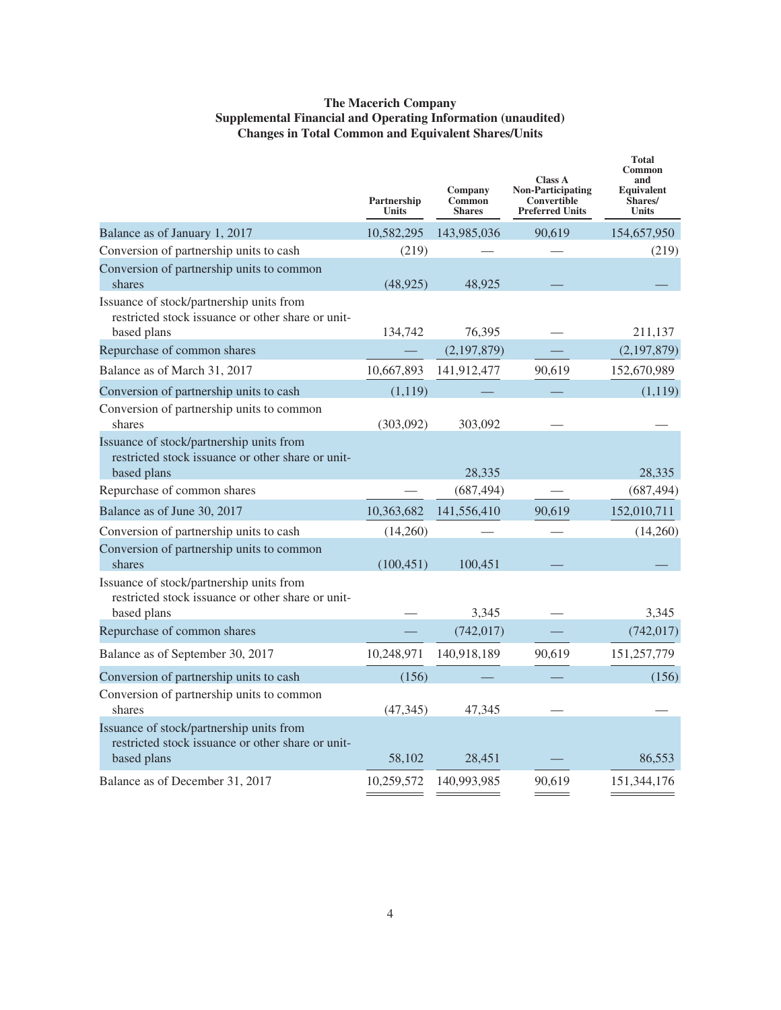### **The Macerich Company Supplemental Financial and Operating Information (unaudited) Changes in Total Common and Equivalent Shares/Units**

|                                                                                                              | Partnership<br><b>Units</b> | Company<br>Common<br><b>Shares</b> | <b>Class A</b><br><b>Non-Participating</b><br>Convertible<br><b>Preferred Units</b> | <b>Total</b><br>Common<br>and<br>Equivalent<br>Shares/<br><b>Units</b> |
|--------------------------------------------------------------------------------------------------------------|-----------------------------|------------------------------------|-------------------------------------------------------------------------------------|------------------------------------------------------------------------|
| Balance as of January 1, 2017                                                                                | 10,582,295                  | 143,985,036                        | 90,619                                                                              | 154,657,950                                                            |
| Conversion of partnership units to cash                                                                      | (219)                       |                                    |                                                                                     | (219)                                                                  |
| Conversion of partnership units to common<br>shares                                                          | (48, 925)                   | 48,925                             |                                                                                     |                                                                        |
| Issuance of stock/partnership units from<br>restricted stock issuance or other share or unit-<br>based plans | 134,742                     | 76,395                             |                                                                                     | 211,137                                                                |
| Repurchase of common shares                                                                                  |                             | (2,197,879)                        |                                                                                     | (2, 197, 879)                                                          |
| Balance as of March 31, 2017                                                                                 | 10,667,893                  | 141,912,477                        | 90,619                                                                              | 152,670,989                                                            |
| Conversion of partnership units to cash                                                                      | (1,119)                     |                                    |                                                                                     | (1,119)                                                                |
| Conversion of partnership units to common<br>shares                                                          | (303,092)                   | 303,092                            |                                                                                     |                                                                        |
| Issuance of stock/partnership units from<br>restricted stock issuance or other share or unit-<br>based plans |                             | 28,335                             |                                                                                     | 28,335                                                                 |
| Repurchase of common shares                                                                                  |                             | (687, 494)                         |                                                                                     | (687, 494)                                                             |
| Balance as of June 30, 2017                                                                                  | 10,363,682                  | 141,556,410                        | 90,619                                                                              | 152,010,711                                                            |
| Conversion of partnership units to cash                                                                      | (14,260)                    |                                    |                                                                                     | (14,260)                                                               |
| Conversion of partnership units to common<br>shares                                                          | (100, 451)                  | 100,451                            |                                                                                     |                                                                        |
| Issuance of stock/partnership units from<br>restricted stock issuance or other share or unit-<br>based plans |                             | 3,345                              |                                                                                     | 3,345                                                                  |
| Repurchase of common shares                                                                                  |                             | (742, 017)                         |                                                                                     | (742, 017)                                                             |
| Balance as of September 30, 2017                                                                             | 10,248,971                  | 140,918,189                        | 90,619                                                                              | 151,257,779                                                            |
| Conversion of partnership units to cash                                                                      | (156)                       |                                    |                                                                                     | (156)                                                                  |
| Conversion of partnership units to common<br>shares                                                          | (47, 345)                   | 47,345                             |                                                                                     |                                                                        |
| Issuance of stock/partnership units from<br>restricted stock issuance or other share or unit-<br>based plans | 58,102                      | 28,451                             |                                                                                     | 86,553                                                                 |
| Balance as of December 31, 2017                                                                              | 10,259,572                  | 140,993,985                        | 90,619                                                                              | 151,344,176                                                            |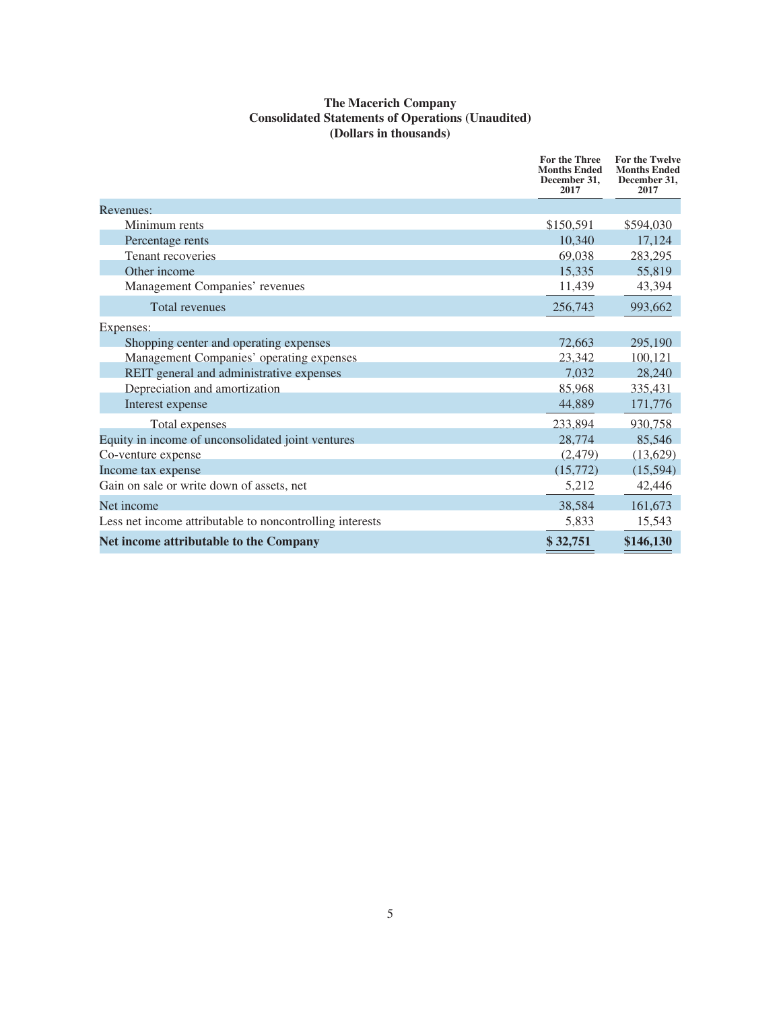### **The Macerich Company Consolidated Statements of Operations (Unaudited) (Dollars in thousands)**

|                                                          | For the Three<br><b>Months Ended</b><br>December 31,<br>2017 | For the Twelve<br><b>Months Ended</b><br>December 31,<br>2017 |
|----------------------------------------------------------|--------------------------------------------------------------|---------------------------------------------------------------|
| Revenues:                                                |                                                              |                                                               |
| Minimum rents                                            | \$150,591                                                    | \$594,030                                                     |
| Percentage rents                                         | 10,340                                                       | 17,124                                                        |
| Tenant recoveries                                        | 69,038                                                       | 283,295                                                       |
| Other income                                             | 15,335                                                       | 55,819                                                        |
| Management Companies' revenues                           | 11,439                                                       | 43,394                                                        |
| <b>Total revenues</b>                                    | 256,743                                                      | 993,662                                                       |
| Expenses:                                                |                                                              |                                                               |
| Shopping center and operating expenses                   | 72,663                                                       | 295,190                                                       |
| Management Companies' operating expenses                 | 23,342                                                       | 100,121                                                       |
| REIT general and administrative expenses                 | 7,032                                                        | 28,240                                                        |
| Depreciation and amortization                            | 85,968                                                       | 335,431                                                       |
| Interest expense                                         | 44,889                                                       | 171,776                                                       |
| <b>Total expenses</b>                                    | 233,894                                                      | 930,758                                                       |
| Equity in income of unconsolidated joint ventures        | 28,774                                                       | 85,546                                                        |
| Co-venture expense                                       | (2, 479)                                                     | (13, 629)                                                     |
| Income tax expense                                       | (15,772)                                                     | (15,594)                                                      |
| Gain on sale or write down of assets, net                | 5,212                                                        | 42,446                                                        |
| Net income                                               | 38,584                                                       | 161,673                                                       |
| Less net income attributable to noncontrolling interests | 5,833                                                        | 15,543                                                        |
| <b>Net income attributable to the Company</b>            | \$32,751                                                     | \$146,130                                                     |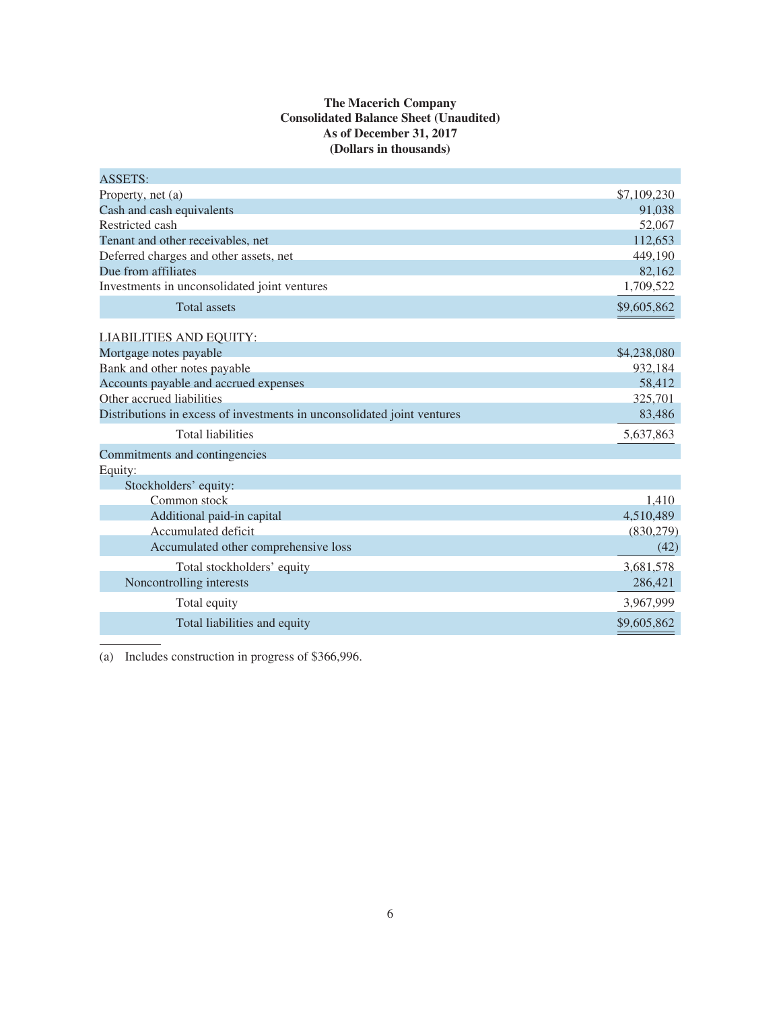### **The Macerich Company Consolidated Balance Sheet (Unaudited) As of December 31, 2017 (Dollars in thousands)**

| <b>ASSETS:</b>                                                          |             |
|-------------------------------------------------------------------------|-------------|
| Property, net (a)                                                       | \$7,109,230 |
| Cash and cash equivalents                                               | 91,038      |
| Restricted cash                                                         | 52,067      |
| Tenant and other receivables, net                                       | 112,653     |
| Deferred charges and other assets, net                                  | 449,190     |
| Due from affiliates                                                     | 82,162      |
| Investments in unconsolidated joint ventures                            | 1,709,522   |
| <b>Total assets</b>                                                     | \$9,605,862 |
| LIABILITIES AND EQUITY:                                                 |             |
| Mortgage notes payable                                                  | \$4,238,080 |
| Bank and other notes payable                                            | 932,184     |
| Accounts payable and accrued expenses                                   | 58,412      |
| Other accrued liabilities                                               | 325,701     |
| Distributions in excess of investments in unconsolidated joint ventures | 83,486      |
| <b>Total liabilities</b>                                                | 5,637,863   |
| Commitments and contingencies                                           |             |
| Equity:                                                                 |             |
| Stockholders' equity:                                                   |             |
| Common stock                                                            | 1,410       |
| Additional paid-in capital                                              | 4,510,489   |
| Accumulated deficit                                                     | (830, 279)  |
| Accumulated other comprehensive loss                                    | (42)        |
| Total stockholders' equity                                              | 3,681,578   |
| Noncontrolling interests                                                | 286,421     |
| Total equity                                                            | 3,967,999   |
| Total liabilities and equity                                            | \$9,605,862 |

(a) Includes construction in progress of \$366,996.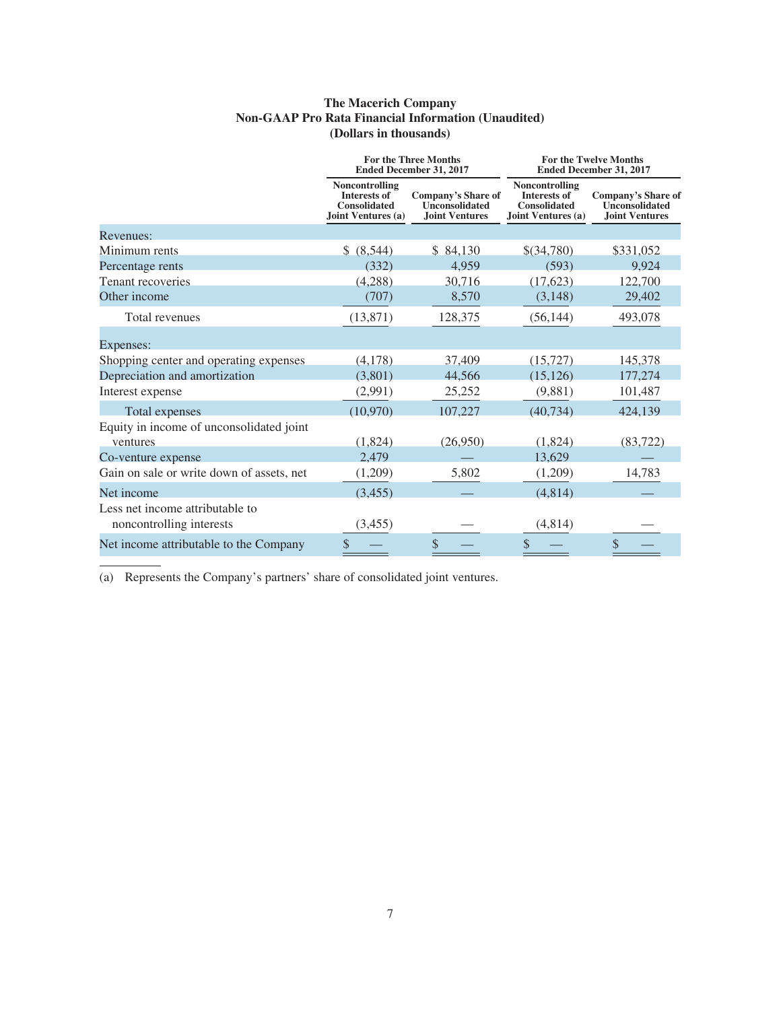### **The Macerich Company Non-GAAP Pro Rata Financial Information (Unaudited) (Dollars in thousands)**

|                                                             | <b>For the Three Months</b><br><b>Ended December 31, 2017</b>               |                                                                      | <b>For the Twelve Months</b><br><b>Ended December 31, 2017</b>                            |                                                                             |
|-------------------------------------------------------------|-----------------------------------------------------------------------------|----------------------------------------------------------------------|-------------------------------------------------------------------------------------------|-----------------------------------------------------------------------------|
|                                                             | Noncontrolling<br>Interests of<br><b>Consolidated</b><br>Joint Ventures (a) | Company's Share of<br><b>Unconsolidated</b><br><b>Joint Ventures</b> | <b>Noncontrolling</b><br><b>Interests of</b><br><b>Consolidated</b><br>Joint Ventures (a) | <b>Company's Share of</b><br><b>Unconsolidated</b><br><b>Joint Ventures</b> |
| Revenues:                                                   |                                                                             |                                                                      |                                                                                           |                                                                             |
| Minimum rents                                               | \$ (8,544)                                                                  | \$84,130                                                             | $$$ (34,780)                                                                              | \$331,052                                                                   |
| Percentage rents                                            | (332)                                                                       | 4.959                                                                | (593)                                                                                     | 9,924                                                                       |
| Tenant recoveries                                           | (4,288)                                                                     | 30,716                                                               | (17, 623)                                                                                 | 122,700                                                                     |
| Other income                                                | (707)                                                                       | 8,570                                                                | (3, 148)                                                                                  | 29,402                                                                      |
| Total revenues                                              | (13, 871)                                                                   | 128,375                                                              | (56, 144)                                                                                 | 493,078                                                                     |
| Expenses:                                                   |                                                                             |                                                                      |                                                                                           |                                                                             |
| Shopping center and operating expenses                      | (4,178)                                                                     | 37,409                                                               | (15, 727)                                                                                 | 145,378                                                                     |
| Depreciation and amortization                               | (3,801)                                                                     | 44,566                                                               | (15, 126)                                                                                 | 177,274                                                                     |
| Interest expense                                            | (2,991)                                                                     | 25,252                                                               | (9,881)                                                                                   | 101,487                                                                     |
| Total expenses                                              | (10,970)                                                                    | 107,227                                                              | (40, 734)                                                                                 | 424,139                                                                     |
| Equity in income of unconsolidated joint                    |                                                                             |                                                                      |                                                                                           |                                                                             |
| ventures                                                    | (1,824)                                                                     | (26,950)                                                             | (1,824)                                                                                   | (83, 722)                                                                   |
| Co-venture expense                                          | 2,479                                                                       |                                                                      | 13,629                                                                                    |                                                                             |
| Gain on sale or write down of assets, net                   | (1,209)                                                                     | 5,802                                                                | (1,209)                                                                                   | 14,783                                                                      |
| Net income                                                  | (3, 455)                                                                    |                                                                      | (4,814)                                                                                   |                                                                             |
| Less net income attributable to<br>noncontrolling interests | (3, 455)                                                                    |                                                                      | (4,814)                                                                                   |                                                                             |
| Net income attributable to the Company                      | \$                                                                          | \$                                                                   | \$                                                                                        | \$                                                                          |

(a) Represents the Company's partners' share of consolidated joint ventures.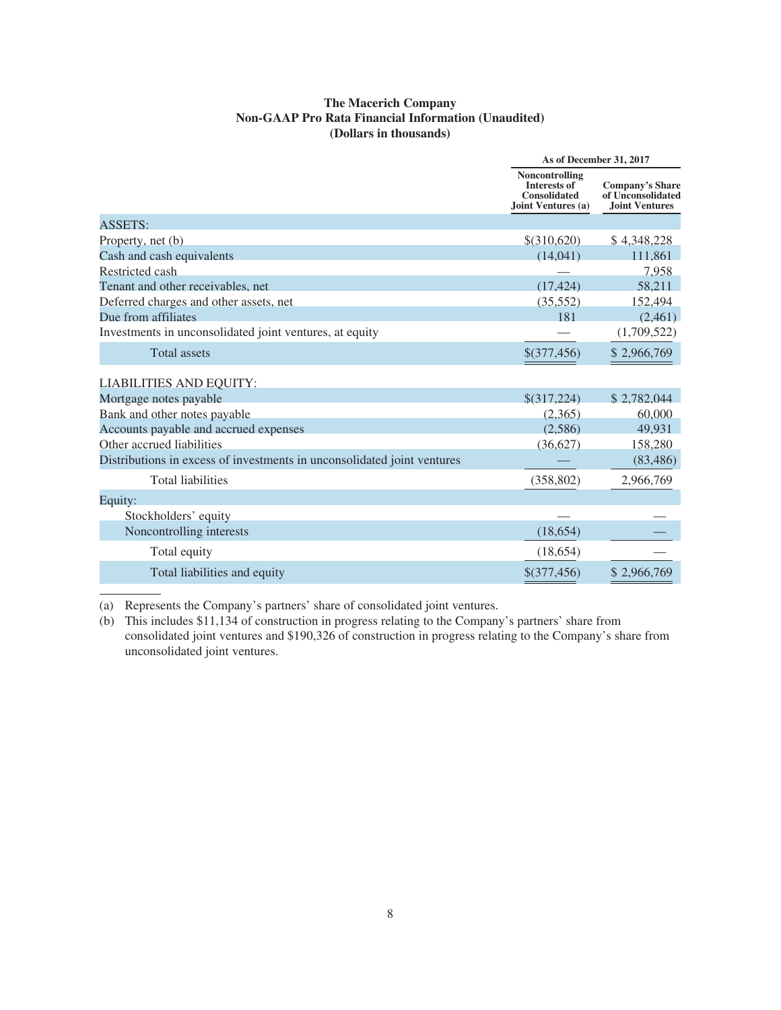### **The Macerich Company Non-GAAP Pro Rata Financial Information (Unaudited) (Dollars in thousands)**

|                                                                         | As of December 31, 2017                                                            |                                                                      |  |
|-------------------------------------------------------------------------|------------------------------------------------------------------------------------|----------------------------------------------------------------------|--|
|                                                                         | Noncontrolling<br><b>Interests of</b><br><b>Consolidated</b><br>Joint Ventures (a) | <b>Company's Share</b><br>of Unconsolidated<br><b>Joint Ventures</b> |  |
| <b>ASSETS:</b>                                                          |                                                                                    |                                                                      |  |
| Property, net (b)                                                       | $$$ (310,620)                                                                      | \$4,348,228                                                          |  |
| Cash and cash equivalents                                               | (14,041)                                                                           | 111,861                                                              |  |
| Restricted cash                                                         |                                                                                    | 7,958                                                                |  |
| Tenant and other receivables, net                                       | (17, 424)                                                                          | 58,211                                                               |  |
| Deferred charges and other assets, net                                  | (35,552)                                                                           | 152,494                                                              |  |
| Due from affiliates                                                     | 181                                                                                | (2,461)                                                              |  |
| Investments in unconsolidated joint ventures, at equity                 |                                                                                    | (1,709,522)                                                          |  |
| <b>Total</b> assets                                                     | \$(377,456)                                                                        | \$2,966,769                                                          |  |
| <b>LIABILITIES AND EQUITY:</b>                                          |                                                                                    |                                                                      |  |
| Mortgage notes payable                                                  | \$(317,224)                                                                        | \$2,782,044                                                          |  |
| Bank and other notes payable                                            | (2,365)                                                                            | 60,000                                                               |  |
| Accounts payable and accrued expenses                                   | (2,586)                                                                            | 49,931                                                               |  |
| Other accrued liabilities                                               | (36, 627)                                                                          | 158,280                                                              |  |
| Distributions in excess of investments in unconsolidated joint ventures |                                                                                    | (83, 486)                                                            |  |
| <b>Total liabilities</b>                                                | (358, 802)                                                                         | 2,966,769                                                            |  |
| Equity:                                                                 |                                                                                    |                                                                      |  |
| Stockholders' equity                                                    |                                                                                    |                                                                      |  |
| Noncontrolling interests                                                | (18, 654)                                                                          |                                                                      |  |
| Total equity                                                            | (18, 654)                                                                          |                                                                      |  |
| Total liabilities and equity                                            | \$(377,456)                                                                        | \$2,966,769                                                          |  |
|                                                                         |                                                                                    |                                                                      |  |

(a) Represents the Company's partners' share of consolidated joint ventures.

(b) This includes \$11,134 of construction in progress relating to the Company's partners' share from consolidated joint ventures and \$190,326 of construction in progress relating to the Company's share from unconsolidated joint ventures.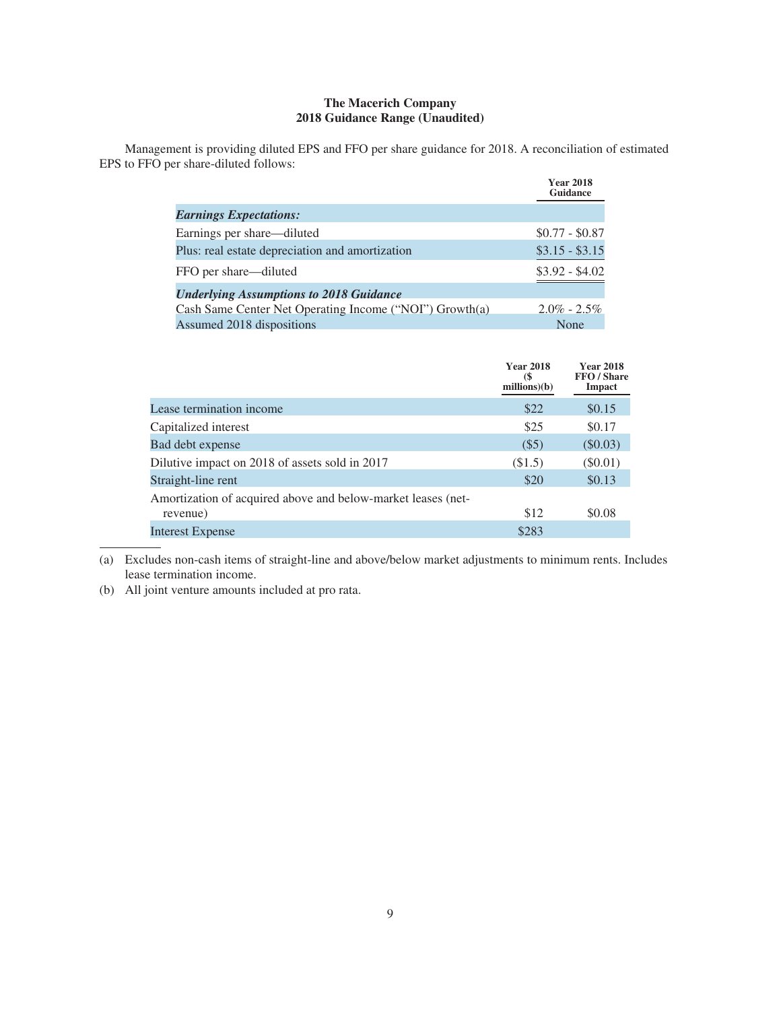### **The Macerich Company 2018 Guidance Range (Unaudited)**

Management is providing diluted EPS and FFO per share guidance for 2018. A reconciliation of estimated EPS to FFO per share-diluted follows:

|                                                         | <b>Year 2018</b><br>Guidance |
|---------------------------------------------------------|------------------------------|
| <b>Earnings Expectations:</b>                           |                              |
| Earnings per share—diluted                              | $$0.77 - $0.87$              |
| Plus: real estate depreciation and amortization         | $$3.15 - $3.15$              |
| FFO per share—diluted                                   | $$3.92 - $4.02$              |
| <b>Underlying Assumptions to 2018 Guidance</b>          |                              |
| Cash Same Center Net Operating Income ("NOI") Growth(a) | $2.0\% - 2.5\%$              |
| Assumed 2018 dispositions                               | <b>None</b>                  |

|                                                              | <b>Year 2018</b><br>$\left( \frac{2}{3} \right)$<br>millions)(b) | <b>Year 2018</b><br>FFO / Share<br>Impact |
|--------------------------------------------------------------|------------------------------------------------------------------|-------------------------------------------|
| Lease termination income                                     | \$22                                                             | \$0.15                                    |
| Capitalized interest                                         | \$25                                                             | \$0.17                                    |
| Bad debt expense                                             | $(\$5)$                                                          | $(\$0.03)$                                |
| Dilutive impact on 2018 of assets sold in 2017               | (\$1.5)                                                          | $(\$0.01)$                                |
| Straight-line rent                                           | \$20                                                             | \$0.13                                    |
| Amortization of acquired above and below-market leases (net- |                                                                  |                                           |
| revenue)                                                     | \$12                                                             | \$0.08                                    |
| Interest Expense                                             | \$283                                                            |                                           |

(a) Excludes non-cash items of straight-line and above/below market adjustments to minimum rents. Includes lease termination income.

(b) All joint venture amounts included at pro rata.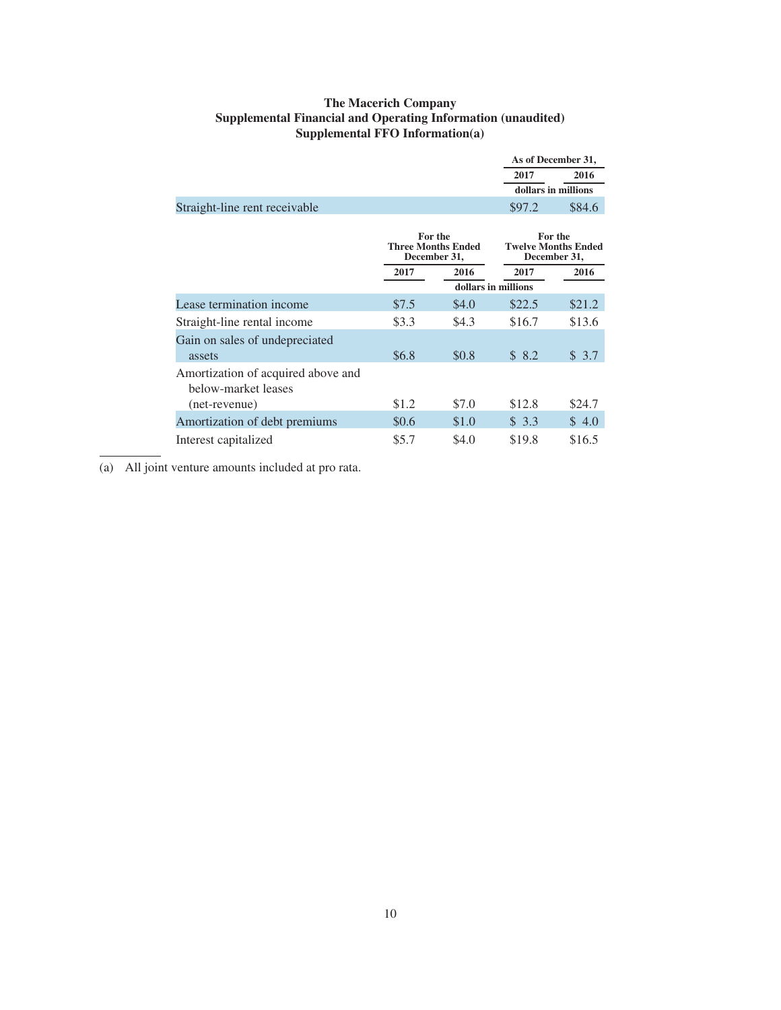### **The Macerich Company Supplemental Financial and Operating Information (unaudited) Supplemental FFO Information(a)**

|                                                           |       |                                                      |                     | As of December 31,                                    |
|-----------------------------------------------------------|-------|------------------------------------------------------|---------------------|-------------------------------------------------------|
|                                                           |       |                                                      | 2017                | 2016                                                  |
|                                                           |       |                                                      |                     | dollars in millions                                   |
| Straight-line rent receivable                             |       |                                                      | \$97.2              | \$84.6                                                |
|                                                           |       | For the<br><b>Three Months Ended</b><br>December 31, |                     | For the<br><b>Twelve Months Ended</b><br>December 31, |
|                                                           | 2017  | 2016                                                 | 2017                | 2016                                                  |
|                                                           |       |                                                      | dollars in millions |                                                       |
| Lease termination income                                  | \$7.5 | \$4.0                                                | \$22.5              | \$21.2                                                |
| Straight-line rental income                               | \$3.3 | \$4.3                                                | \$16.7              | \$13.6                                                |
| Gain on sales of undepreciated<br>assets                  | \$6.8 | \$0.8                                                | \$8.2               | \$3.7                                                 |
| Amortization of acquired above and<br>below-market leases |       |                                                      |                     |                                                       |
| (net-revenue)                                             | \$1.2 | \$7.0                                                | \$12.8              | \$24.7                                                |
| Amortization of debt premiums                             | \$0.6 | \$1.0                                                | \$3.3               | \$4.0                                                 |
| Interest capitalized                                      | \$5.7 | \$4.0                                                | \$19.8              | \$16.5                                                |

(a) All joint venture amounts included at pro rata.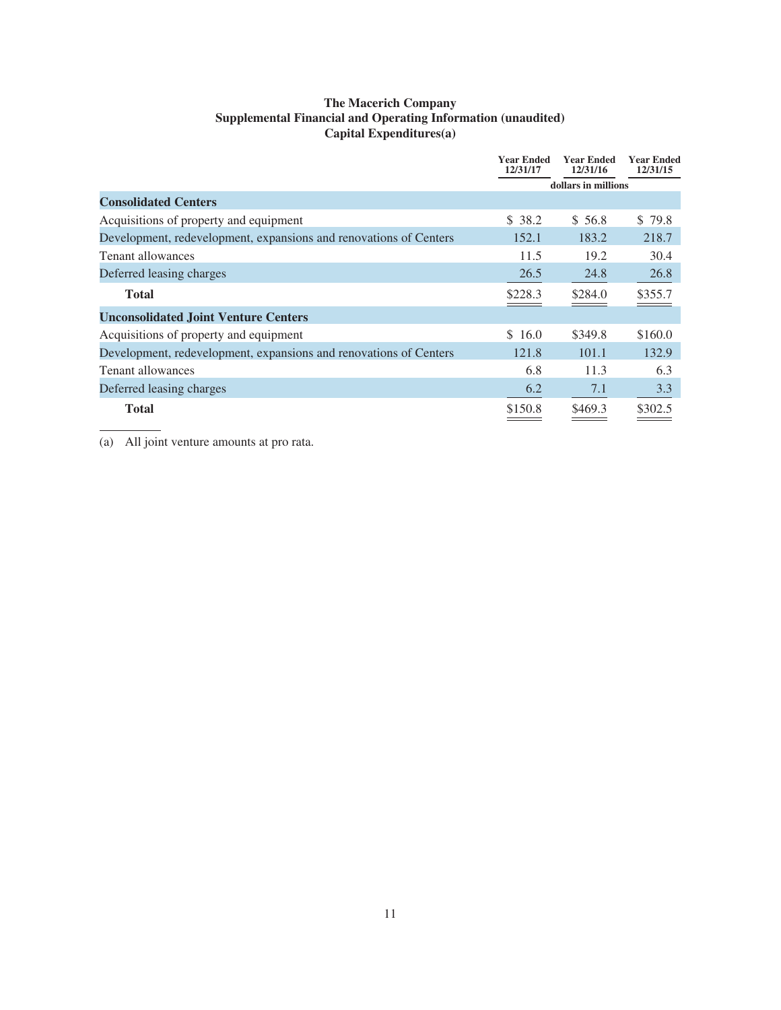### **The Macerich Company Supplemental Financial and Operating Information (unaudited) Capital Expenditures(a)**

|                                                                   | <b>Year Ended</b><br>12/31/17 | <b>Year Ended</b><br>12/31/16 | <b>Year Ended</b><br>12/31/15 |
|-------------------------------------------------------------------|-------------------------------|-------------------------------|-------------------------------|
|                                                                   |                               | dollars in millions           |                               |
| <b>Consolidated Centers</b>                                       |                               |                               |                               |
| Acquisitions of property and equipment                            | \$38.2                        | \$ 56.8                       | \$79.8                        |
| Development, redevelopment, expansions and renovations of Centers | 152.1                         | 183.2                         | 218.7                         |
| Tenant allowances                                                 | 11.5                          | 19.2                          | 30.4                          |
| Deferred leasing charges                                          | 26.5                          | 24.8                          | 26.8                          |
| <b>Total</b>                                                      | \$228.3                       | \$284.0                       | \$355.7                       |
| <b>Unconsolidated Joint Venture Centers</b>                       |                               |                               |                               |
| Acquisitions of property and equipment                            | \$16.0                        | \$349.8                       | \$160.0                       |
| Development, redevelopment, expansions and renovations of Centers | 121.8                         | 101.1                         | 132.9                         |
| Tenant allowances                                                 | 6.8                           | 11.3                          | 6.3                           |
| Deferred leasing charges                                          | 6.2                           | 7.1                           | 3.3                           |
| <b>Total</b>                                                      | \$150.8                       | \$469.3                       | \$302.5                       |

(a) All joint venture amounts at pro rata.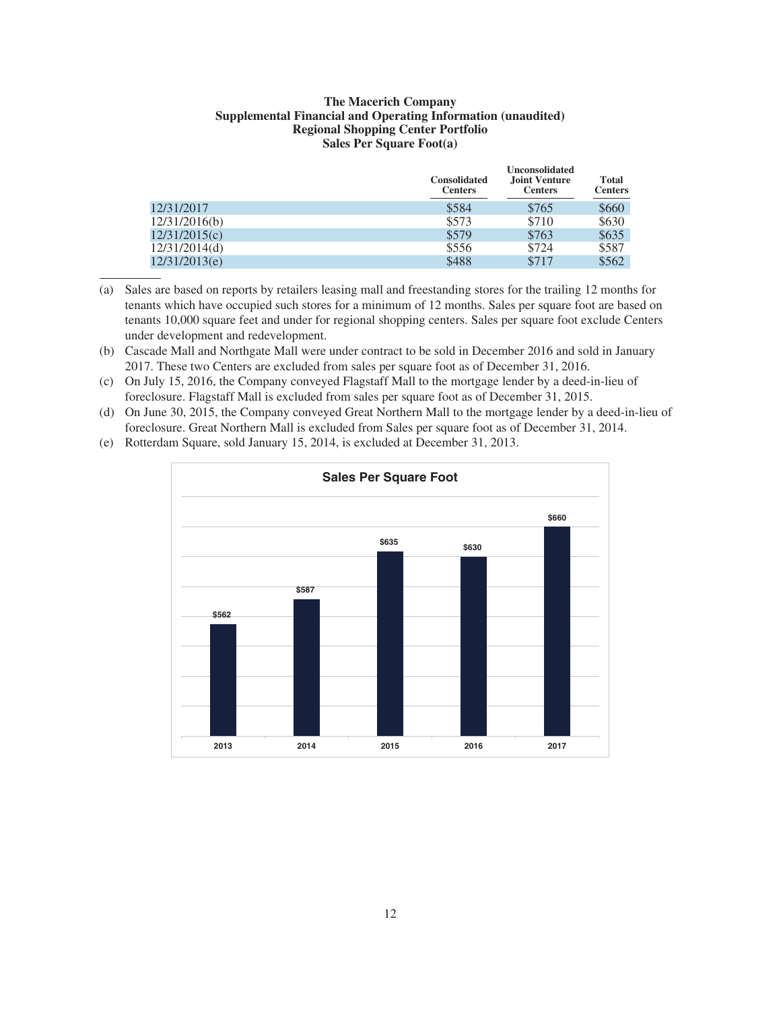### **The Macerich Company Supplemental Financial and Operating Information (unaudited) Regional Shopping Center Portfolio Sales Per Square Foot(a)**

|               | <b>Consolidated</b><br><b>Centers</b> | <b>Unconsolidated</b><br><b>Joint Venture</b><br><b>Centers</b> | Total<br><b>Centers</b> |
|---------------|---------------------------------------|-----------------------------------------------------------------|-------------------------|
| 12/31/2017    | \$584                                 | \$765                                                           | \$660                   |
| 12/31/2016(b) | \$573                                 | \$710                                                           | \$630                   |
| 12/31/2015(c) | \$579                                 | \$763                                                           | \$635                   |
| 12/31/2014(d) | \$556                                 | \$724                                                           | \$587                   |
| 12/31/2013(e) | \$488                                 | \$717                                                           | \$562                   |

(a) Sales are based on reports by retailers leasing mall and freestanding stores for the trailing 12 months for tenants which have occupied such stores for a minimum of 12 months. Sales per square foot are based on tenants 10,000 square feet and under for regional shopping centers. Sales per square foot exclude Centers under development and redevelopment.

- (b) Cascade Mall and Northgate Mall were under contract to be sold in December 2016 and sold in January 2017. These two Centers are excluded from sales per square foot as of December 31, 2016.
- (c) On July 15, 2016, the Company conveyed Flagstaff Mall to the mortgage lender by a deed-in-lieu of foreclosure. Flagstaff Mall is excluded from sales per square foot as of December 31, 2015.
- (d) On June 30, 2015, the Company conveyed Great Northern Mall to the mortgage lender by a deed-in-lieu of foreclosure. Great Northern Mall is excluded from Sales per square foot as of December 31, 2014.



(e) Rotterdam Square, sold January 15, 2014, is excluded at December 31, 2013.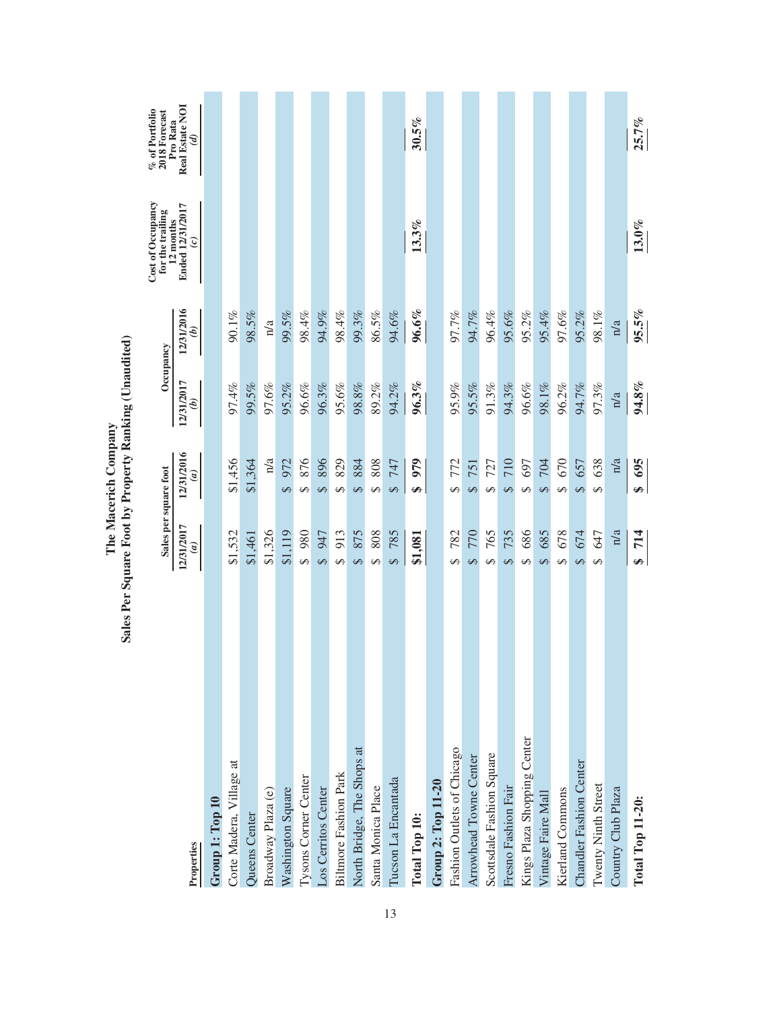|                              | Sales per square foot       |                             | Occupancy                   |            | Cost of Occupancy<br>for the trailing          | % of Portfolio<br>2018 Forecast<br>Pro Rata |
|------------------------------|-----------------------------|-----------------------------|-----------------------------|------------|------------------------------------------------|---------------------------------------------|
| Properties                   | 12/31/2017<br>$\widehat{a}$ | 12/31/2016<br>$\widehat{a}$ | 12/31/2017<br>$\widehat{e}$ | 12/31/2016 | Ended 12/31/2017<br>12 months<br>$\widehat{c}$ | Real Estate NOI<br>$\mathcal{G}$            |
| Group 1: Top 10              |                             |                             |                             |            |                                                |                                             |
| Corte Madera, Village at     | \$1,532                     | \$1,456                     | 97.4%                       | 90.1%      |                                                |                                             |
| Queens Center                | \$1,461                     | \$1,364                     | 99.5%                       | 98.5%      |                                                |                                             |
| Broadway Plaza (e)           | \$1,326                     | n/a                         | 97.6%                       | n/a        |                                                |                                             |
| Washington Square            | \$1,119                     | 972<br>S                    | 95.2%                       | 99.5%      |                                                |                                             |
| <b>Tysons Corner Center</b>  | 980<br>$\varphi$            | 876<br>$\Theta$             | 96.6%                       | 98.4%      |                                                |                                             |
| Los Cerritos Center          | 947<br>S                    | 896<br>S                    | 96.3%                       | 94.9%      |                                                |                                             |
| <b>Biltmore Fashion Park</b> | 913<br>$\leftrightarrow$    | 829<br>$\Theta$             | 95.6%                       | 98.4%      |                                                |                                             |
| North Bridge, The Shops at   | 875<br>$\Theta$             | 884<br>$\Theta$             | 98.8%                       | 99.3%      |                                                |                                             |
| Santa Monica Place           | 808<br>↔                    | 808<br>5                    | 89.2%                       | 86.5%      |                                                |                                             |
| Tucson La Encantada          | 785<br>$\overline{S}$       | 747<br>$\overline{S}$       | 94.2%                       | 94.6%      |                                                |                                             |
| Total Top 10:                | \$1,081                     | 979<br>↮                    | 96.3%                       | 96.6%      | 13.3%                                          | 30.5%                                       |
| Group 2: Top 11-20           |                             |                             |                             |            |                                                |                                             |
| Fashion Outlets of Chicago   | 782<br>↔                    | 772<br>$\Theta$             | 95.9%                       | 97.7%      |                                                |                                             |
| Arrowhead Towne Center       | 770<br>$\Theta$             | 751<br>S                    | 95.5%                       | 94.7%      |                                                |                                             |
| Scottsdale Fashion Square    | 765<br>$\Theta$             | 727<br>S                    | 91.3%                       | 96.4%      |                                                |                                             |
| Fresno Fashion Fair          | 735<br>$\Theta$             | 710<br>$\Theta$             | 94.3%                       | 95.6%      |                                                |                                             |
| Kings Plaza Shopping Center  | 686<br>$\Theta$             | 697<br>$\Theta$             | 96.6%                       | 95.2%      |                                                |                                             |
| Vintage Faire Mall           | 685<br>$\Theta$             | <b>704</b><br>S             | 98.1%                       | 95.4%      |                                                |                                             |
| Kierland Commons             | 678<br>$\Theta$             | 670<br>$\Theta$             | 96.2%                       | 97.6%      |                                                |                                             |
| Chandler Fashion Center      | 674<br>$\Theta$             | 657<br>$\Theta$             | 94.7%                       | 95.2%      |                                                |                                             |
| <b>Twenty Ninth Street</b>   | 647<br>↔                    | 638<br>S                    | 97.3%                       | 98.1%      |                                                |                                             |
| Country Club Plaza           | n/a                         | n/a                         | n/a                         | n/a        |                                                |                                             |
| <b>Total Top 11-20:</b>      | 714<br>Ø                    | 695<br>Ø                    | $94.8\,\%$                  | 95.5%      | $13.0\%$                                       | 25.7%                                       |

The Macerich Company<br>Sales Per Square Foot by Property Ranking (Unaudited) **Sales Per Square Foot by Property Ranking (Unaudited) The Macerich Company**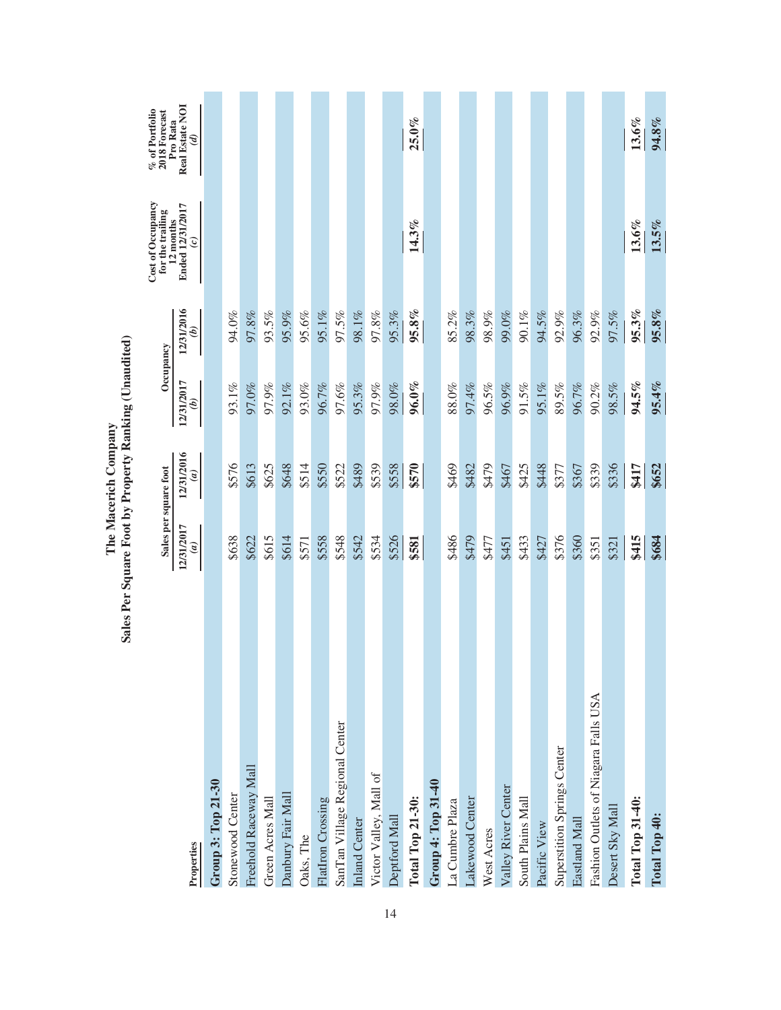|                                      | Sales per square foot    |                              | Occupancy                |                             | Cost of Occupancy<br>for the trailing<br>12 months | $\%$ of Portfolio 2018 Forecast<br>Pro Rata |
|--------------------------------------|--------------------------|------------------------------|--------------------------|-----------------------------|----------------------------------------------------|---------------------------------------------|
| Properties                           | 12/31/2017<br>$\epsilon$ | 12/31/2016<br>$\mathfrak{g}$ | 12/31/2017<br>$\epsilon$ | 12/31/2016<br>$\widehat{e}$ | Ended 12/31/2017<br>$\hat{c}$                      | Real Estate NOI<br>$\mathcal{G}$            |
| Group 3: Top 21-30                   |                          |                              |                          |                             |                                                    |                                             |
| Stonewood Center                     | \$638                    | \$576                        | 93.1%                    | 94.0%                       |                                                    |                                             |
| Freehold Raceway Mall                | \$622                    | \$613                        | 97.0%                    | 97.8%                       |                                                    |                                             |
| Green Acres Mall                     | \$615                    | \$625                        | 97.9%                    | 93.5%                       |                                                    |                                             |
| Danbury Fair Mall                    | \$614                    | \$648                        | 92.1%                    | 95.9%                       |                                                    |                                             |
| Oaks, The                            | \$571                    | \$514                        | 93.0%                    | 95.6%                       |                                                    |                                             |
| <b>FlatIron Crossing</b>             | \$558                    | \$550                        | 96.7%                    | 95.1%                       |                                                    |                                             |
| SanTan Village Regional Center       | \$548                    | \$522                        | 97.6%                    | 97.5%                       |                                                    |                                             |
| Inland Center                        | \$542                    | \$489                        | 95.3%                    | 98.1%                       |                                                    |                                             |
| Victor Valley, Mall of               | \$534                    | \$539                        | 97.9%                    | 97.8%                       |                                                    |                                             |
| Deptford Mall                        | \$526                    | \$558                        | 98.0%                    | 95.3%                       |                                                    |                                             |
| <b>Total Top 21-30:</b>              | \$581                    | \$570                        | $96.0\%$                 | 95.8%                       | 14.3%                                              | $25.0\%$                                    |
| Group 4: Top 31-40                   |                          |                              |                          |                             |                                                    |                                             |
| La Cumbre Plaza                      | \$486                    | \$469                        | 88.0%                    | 85.2%                       |                                                    |                                             |
| Lakewood Center                      | \$479                    | \$482                        | 97.4%                    | 98.3%                       |                                                    |                                             |
| West Acres                           | \$477                    | 62479                        | 96.5%                    | 98.9%                       |                                                    |                                             |
| Valley River Center                  | \$451                    | \$467                        | 96.9%                    | 99.0%                       |                                                    |                                             |
| South Plains Mall                    | \$433                    | \$425                        | 91.5%                    | 90.1%                       |                                                    |                                             |
| Pacific View                         | \$427                    | \$448                        | 95.1%                    | 94.5%                       |                                                    |                                             |
| <b>Superstition Springs Center</b>   | \$376                    | \$377                        | 89.5%                    | 92.9%                       |                                                    |                                             |
| Eastland Mall                        | \$360                    | \$367                        | 96.7%                    | 96.3%                       |                                                    |                                             |
| Fashion Outlets of Niagara Falls USA | \$351                    | \$339                        | 90.2%                    | 92.9%                       |                                                    |                                             |
| Desert Sky Mall                      | \$321                    | \$336                        | 98.5%                    | 97.5%                       |                                                    |                                             |
| <b>Total Top 31-40:</b>              | \$415                    | \$417                        | 94.5%                    | 95.3%                       | $13.6\%$                                           | $13.6\%$                                    |
| Total Top 40:                        | \$684                    | \$652                        | 95.4%                    | 95.8%                       | 13.5%                                              | 94.8%                                       |

The Macerich Company<br>Sales Per Square Foot by Property Ranking (Unaudited) **Sales Per Square Foot by Property Ranking (Unaudited) The Macerich Company**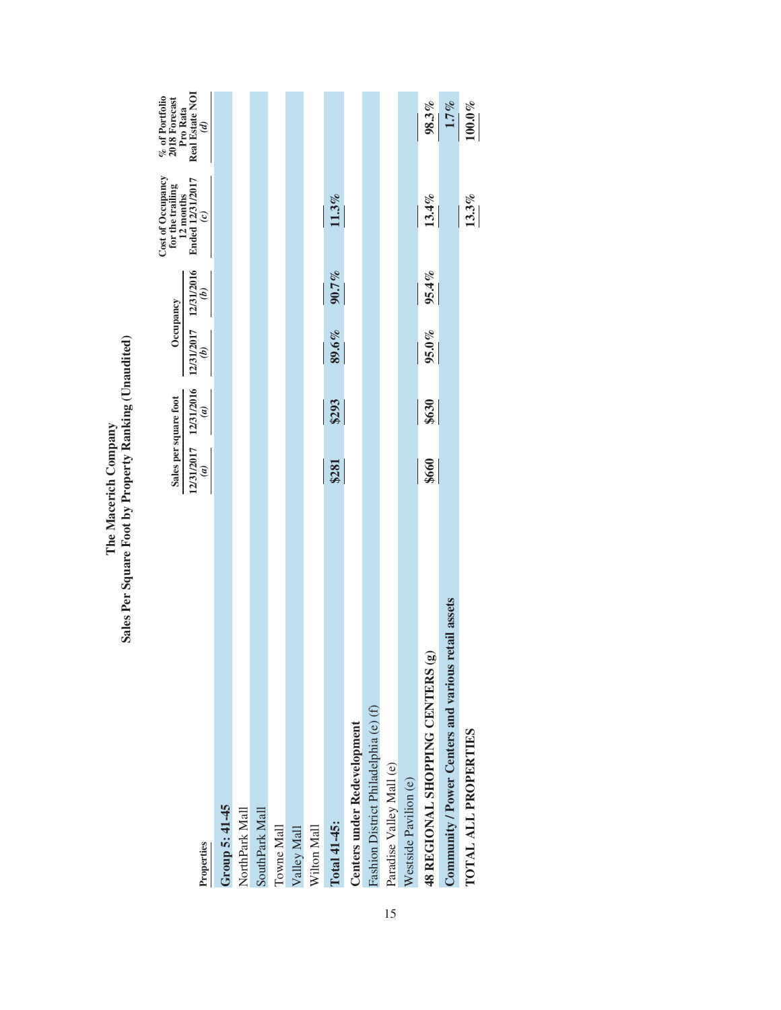|                                                        | Sales per square foot                  |       | Occupancy                              |               | Cost of Occupancy<br>for the trailing                | $\%$ of Portfolio 2018 Forecast<br>Pro Rata |
|--------------------------------------------------------|----------------------------------------|-------|----------------------------------------|---------------|------------------------------------------------------|---------------------------------------------|
| Properties                                             | 12/31/2017 12/31/2016<br>$\widehat{a}$ | (a)   | 12/31/2017 12/31/2016<br>$\mathcal{E}$ | $\widehat{a}$ | $12 \text{ months}$ Ended $12/31/2017$<br>$\epsilon$ | Real Estate NOI<br>$\mathcal{G}$            |
| Group 5: 41-45                                         |                                        |       |                                        |               |                                                      |                                             |
| NorthPark Mall                                         |                                        |       |                                        |               |                                                      |                                             |
| SouthPark Mall                                         |                                        |       |                                        |               |                                                      |                                             |
| Towne Mall                                             |                                        |       |                                        |               |                                                      |                                             |
| Valley Mall                                            |                                        |       |                                        |               |                                                      |                                             |
| Wilton Mall                                            |                                        |       |                                        |               |                                                      |                                             |
| Total 41-45:                                           | \$281                                  | \$293 | 89.6%                                  | 90.7%         | 11.3%                                                |                                             |
| Centers under Redevelopment                            |                                        |       |                                        |               |                                                      |                                             |
| Fashion District Philadelphia (e) (f)                  |                                        |       |                                        |               |                                                      |                                             |
| Paradise Valley Mall (e)                               |                                        |       |                                        |               |                                                      |                                             |
| Westside Pavilion (e)                                  |                                        |       |                                        |               |                                                      |                                             |
| $\mathbf{\widehat{e}}$<br>48 REGIONAL SHOPPING CENTERS | \$660                                  | \$630 | $95.0\%$                               | 95.4%         | 13.4%                                                | 98.3%                                       |
| retail assets<br>Community / Power Centers and various |                                        |       |                                        |               |                                                      | 1.7%                                        |
| TOTAL ALL PROPERTIES                                   |                                        |       |                                        |               | $13.3\%$                                             | $100.0\%$                                   |
|                                                        |                                        |       |                                        |               |                                                      |                                             |

## The Macerich Company<br>Sales Per Square Foot by Property Ranking (Unaudited) **Sales Per Square Foot by Property Ranking (Unaudited) The Macerich Company**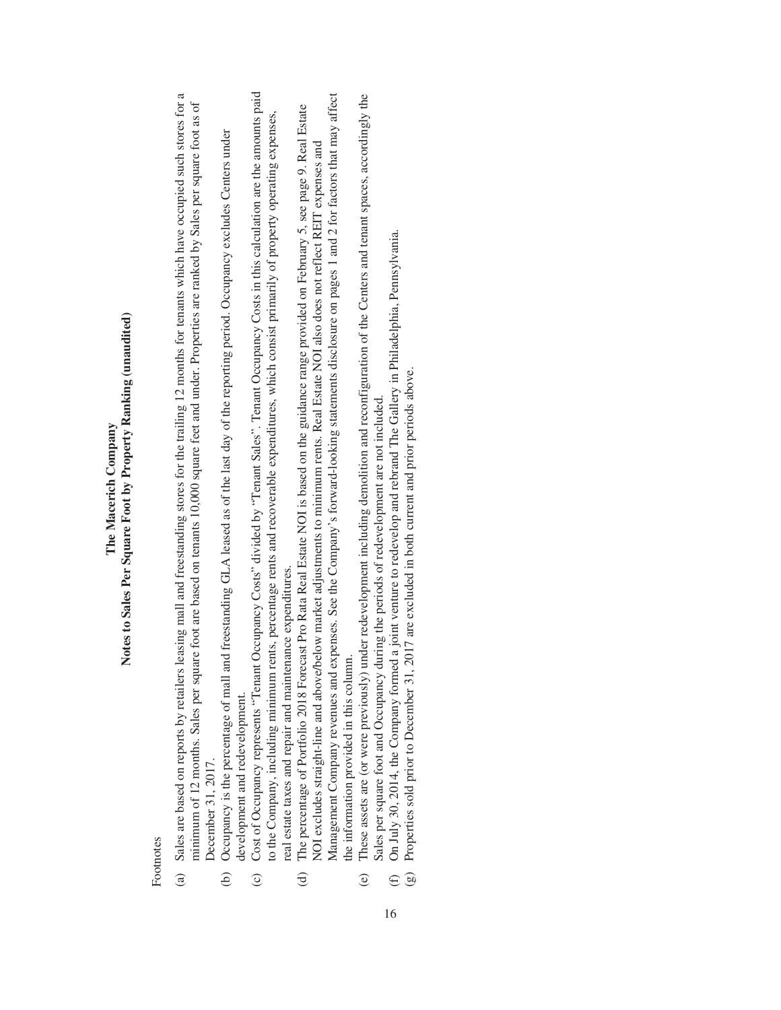### Notes to Sales Per Square Foot by Property Ranking (unaudited) **Notes to Sales Per Square Foot by Property Ranking (unaudited)** The Macerich Company **The Macerich Company**

Footnotes Footnotes

- Sales are based on reports by retailers leasing mall and freestanding stores for the trailing 12 months for tenants which have occupied such stores for a (a) Sales are based on reports by retailers leasing mall and freestanding stores for the trailing 12 months for tenants which have occupied such stores for a minimum of 12 months. Sales per square foot are based on tenants 10,000 square feet and under. Properties are ranked by Sales per square foot as of minimum of 12 months. Sales per square foot are based on tenants 10,000 square feet and under. Properties are ranked by Sales per square foot as of December 31, 2017. December 31, 2017.  $\hat{a}$
- (b) Occupancy is the percentage of mall and freestanding GLA leased as of the last day of the reporting period. Occupancy excludes Centers under Occupancy is the percentage of mall and freestanding GLA leased as of the last day of the reporting period. Occupancy excludes Centers under development and redevelopment. development and redevelopment.  $\widehat{e}$
- Cost of Occupancy represents "Tenant Occupancy Costs" divided by "Tenant Sales". Tenant Occupancy Costs in this calculation are the amounts paid (c) Cost of Occupancy represents "Tenant Occupancy Costs" divided by "Tenant Sales". Tenant Occupancy Costs in this calculation are the amounts paid to the Company, including minimum rents, percentage rents and recoverable expenditures, which consist primarily of property operating expenses, to the Company, including minimum rents, percentage rents and recoverable expenditures, which consist primarily of property operating expenses, real estate taxes and repair and maintenance expenditures. real estate taxes and repair and maintenance expenditures.  $\odot$
- Management Company revenues and expenses. See the Company's forward-looking statements disclosure on pages 1 and 2 for factors that may affect Management Company revenues and expenses. See the Company's forward-looking statements disclosure on pages 1 and 2 for factors that may affect The percentage of Portfolio 2018 Forecast Pro Rata Real Estate NOI is based on the guidance range provided on February 5, see page 9. Real Estate (d) The percentage of Portfolio 2018 Forecast Pro Rata Real Estate NOI is based on the guidance range provided on February 5, see page 9. Real Estate NOI excludes straight-line and above/below market adjustments to minimum rents. Real Estate NOI also does not reflect REIT expenses and NOI excludes straight-line and above/below market adjustments to minimum rents. Real Estate NOI also does not reflect REIT expenses and the information provided in this column. the information provided in this column.  $\Theta$
- These assets are (or were previously) under redevelopment including demolition and reconfiguration of the Centers and tenant spaces, accordingly the (e) These assets are (or were previously) under redevelopment including demolition and reconfiguration of the Centers and tenant spaces, accordingly the Sales per square foot and Occupancy during the periods of redevelopment are not included. Sales per square foot and Occupancy during the periods of redevelopment are not included.  $\odot$
- On July 30, 2014, the Company formed a joint venture to redevelop and rebrand The Gallery in Philadelphia, Pennsylvania. (f) On July 30, 2014, the Company formed a joint venture to redevelop and rebrand The Gallery in Philadelphia, Pennsylvania.  $\bigoplus$ 
	- Properties sold prior to December 31, 2017 are excluded in both current and prior periods above. (g) Properties sold prior to December 31, 2017 are excluded in both current and prior periods above.  $\bigcirc$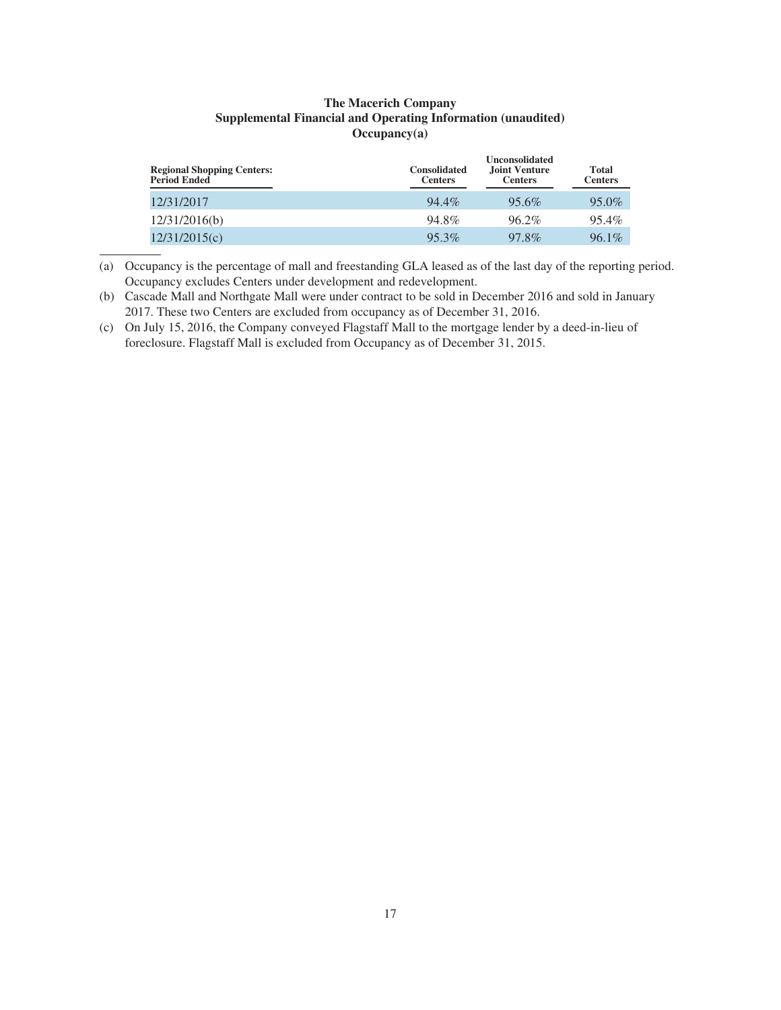### **The Macerich Company Supplemental Financial and Operating Information (unaudited) Occupancy(a)**

| <b>Regional Shopping Centers:</b><br><b>Period Ended</b> | <b>Consolidated</b><br><b>Centers</b> | <b>Unconsolidated</b><br><b>Joint Venture</b><br><b>Centers</b> | Total<br><b>Centers</b> |
|----------------------------------------------------------|---------------------------------------|-----------------------------------------------------------------|-------------------------|
| 12/31/2017                                               | 94.4%                                 | 95.6%                                                           | $95.0\%$                |
| 12/31/2016(b)                                            | 94.8%                                 | $96.2\%$                                                        | $95.4\%$                |
| 12/31/2015(c)                                            | 95.3%                                 | 97.8%                                                           | $96.1\%$                |

(a) Occupancy is the percentage of mall and freestanding GLA leased as of the last day of the reporting period. Occupancy excludes Centers under development and redevelopment.

(b) Cascade Mall and Northgate Mall were under contract to be sold in December 2016 and sold in January 2017. These two Centers are excluded from occupancy as of December 31, 2016.

(c) On July 15, 2016, the Company conveyed Flagstaff Mall to the mortgage lender by a deed-in-lieu of foreclosure. Flagstaff Mall is excluded from Occupancy as of December 31, 2015.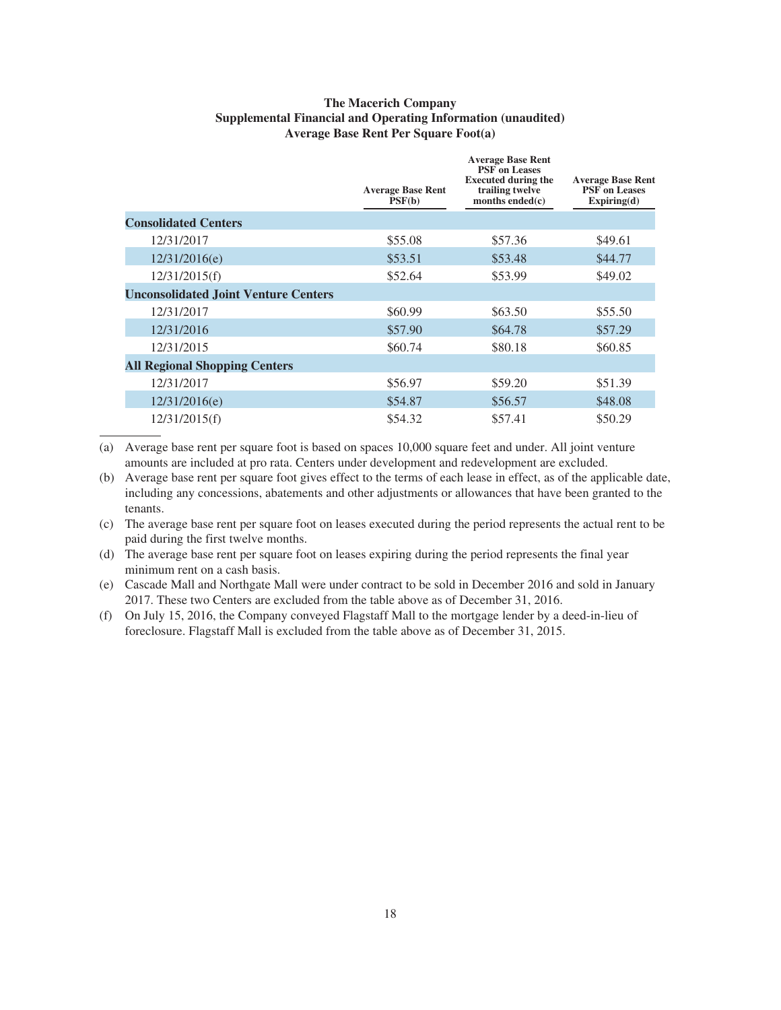### **The Macerich Company Supplemental Financial and Operating Information (unaudited) Average Base Rent Per Square Foot(a)**

|                                             | <b>Average Base Rent</b><br>PSF(b) | <b>Average Base Rent</b><br><b>PSF</b> on Leases<br><b>Executed during the</b><br>trailing twelve<br>months ended $(c)$ | <b>Average Base Rent</b><br><b>PSF</b> on Leases<br>Expiring(d) |
|---------------------------------------------|------------------------------------|-------------------------------------------------------------------------------------------------------------------------|-----------------------------------------------------------------|
| <b>Consolidated Centers</b>                 |                                    |                                                                                                                         |                                                                 |
| 12/31/2017                                  | \$55.08                            | \$57.36                                                                                                                 | \$49.61                                                         |
| 12/31/2016(e)                               | \$53.51                            | \$53.48                                                                                                                 | \$44.77                                                         |
| 12/31/2015(f)                               | \$52.64                            | \$53.99                                                                                                                 | \$49.02                                                         |
| <b>Unconsolidated Joint Venture Centers</b> |                                    |                                                                                                                         |                                                                 |
| 12/31/2017                                  | \$60.99                            | \$63.50                                                                                                                 | \$55.50                                                         |
| 12/31/2016                                  | \$57.90                            | \$64.78                                                                                                                 | \$57.29                                                         |
| 12/31/2015                                  | \$60.74                            | \$80.18                                                                                                                 | \$60.85                                                         |
| <b>All Regional Shopping Centers</b>        |                                    |                                                                                                                         |                                                                 |
| 12/31/2017                                  | \$56.97                            | \$59.20                                                                                                                 | \$51.39                                                         |
| 12/31/2016(e)                               | \$54.87                            | \$56.57                                                                                                                 | \$48.08                                                         |
| 12/31/2015(f)                               | \$54.32                            | \$57.41                                                                                                                 | \$50.29                                                         |

(a) Average base rent per square foot is based on spaces 10,000 square feet and under. All joint venture amounts are included at pro rata. Centers under development and redevelopment are excluded.

(b) Average base rent per square foot gives effect to the terms of each lease in effect, as of the applicable date, including any concessions, abatements and other adjustments or allowances that have been granted to the tenants.

(c) The average base rent per square foot on leases executed during the period represents the actual rent to be paid during the first twelve months.

(d) The average base rent per square foot on leases expiring during the period represents the final year minimum rent on a cash basis.

(e) Cascade Mall and Northgate Mall were under contract to be sold in December 2016 and sold in January 2017. These two Centers are excluded from the table above as of December 31, 2016.

(f) On July 15, 2016, the Company conveyed Flagstaff Mall to the mortgage lender by a deed-in-lieu of foreclosure. Flagstaff Mall is excluded from the table above as of December 31, 2015.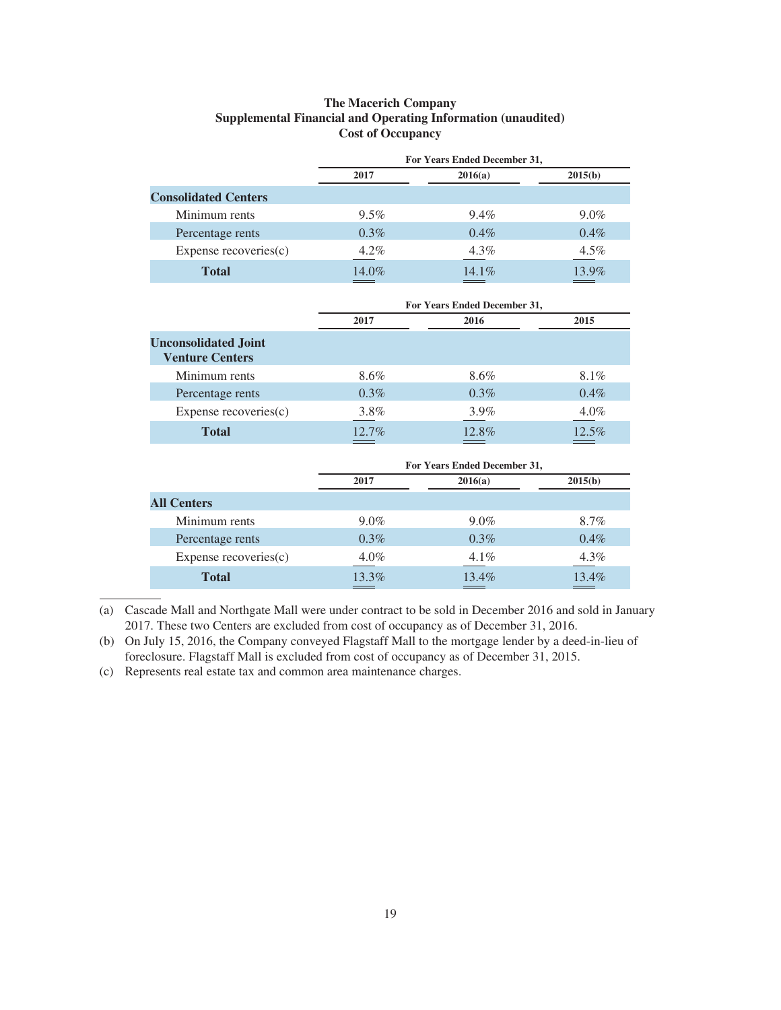### **The Macerich Company Supplemental Financial and Operating Information (unaudited) Cost of Occupancy**

|                             |         | For Years Ended December 31, |         |
|-----------------------------|---------|------------------------------|---------|
|                             | 2017    | 2016(a)                      | 2015(b) |
| <b>Consolidated Centers</b> |         |                              |         |
| Minimum rents               | $9.5\%$ | $9.4\%$                      | $9.0\%$ |
| Percentage rents            | $0.3\%$ | $0.4\%$                      | $0.4\%$ |
| Expense recoveries(c)       | $4.2\%$ | $4.3\%$                      | $4.5\%$ |
| <b>Total</b>                | 14.0%   | $14.1\%$                     | 13.9%   |

|                                                       |         | For Years Ended December 31, |         |
|-------------------------------------------------------|---------|------------------------------|---------|
|                                                       | 2017    | 2016                         | 2015    |
| <b>Unconsolidated Joint</b><br><b>Venture Centers</b> |         |                              |         |
| Minimum rents                                         | 8.6%    | 8.6%                         | 8.1%    |
| Percentage rents                                      | $0.3\%$ | $0.3\%$                      | $0.4\%$ |
| Expense recoveries $(c)$                              | 3.8%    | $3.9\%$                      | $4.0\%$ |
| <b>Total</b>                                          | 12.7%   | 12.8%                        | 12.5%   |

|                       |         | For Years Ended December 31, |         |
|-----------------------|---------|------------------------------|---------|
|                       | 2017    | 2016(a)                      | 2015(b) |
| <b>All Centers</b>    |         |                              |         |
| Minimum rents         | $9.0\%$ | $9.0\%$                      | 8.7%    |
| Percentage rents      | $0.3\%$ | $0.3\%$                      | $0.4\%$ |
| Expense recoveries(c) | $4.0\%$ | $4.1\%$                      | $4.3\%$ |
| <b>Total</b>          | 13.3%   | 13.4%                        | 13.4%   |

(a) Cascade Mall and Northgate Mall were under contract to be sold in December 2016 and sold in January 2017. These two Centers are excluded from cost of occupancy as of December 31, 2016.

(b) On July 15, 2016, the Company conveyed Flagstaff Mall to the mortgage lender by a deed-in-lieu of foreclosure. Flagstaff Mall is excluded from cost of occupancy as of December 31, 2015.

(c) Represents real estate tax and common area maintenance charges.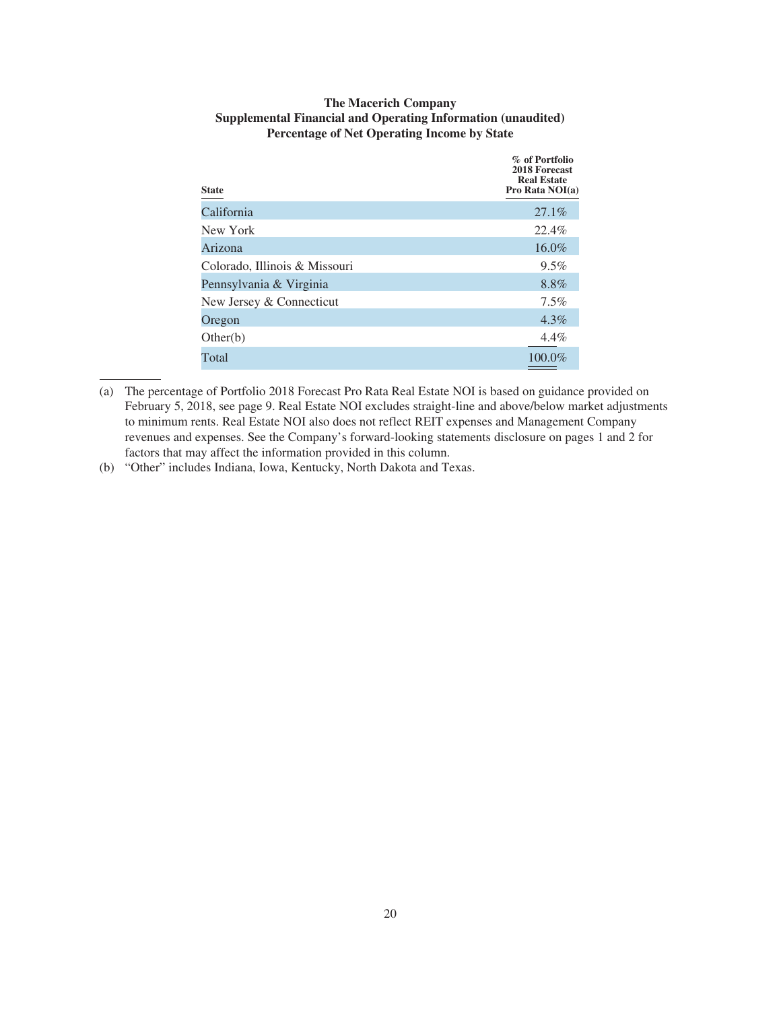| <b>State</b>                  | % of Portfolio<br>2018 Forecast<br><b>Real Estate</b><br>Pro Rata NOI(a) |
|-------------------------------|--------------------------------------------------------------------------|
| California                    | 27.1%                                                                    |
| New York                      | 22.4%                                                                    |
| Arizona                       | 16.0%                                                                    |
| Colorado, Illinois & Missouri | $9.5\%$                                                                  |
| Pennsylvania & Virginia       | 8.8%                                                                     |
| New Jersey & Connecticut      | $7.5\%$                                                                  |
| Oregon                        | $4.3\%$                                                                  |
| Other(b)                      | $4.4\%$                                                                  |
| Total                         | 100.0%                                                                   |

### **The Macerich Company Supplemental Financial and Operating Information (unaudited) Percentage of Net Operating Income by State**

(b) "Other" includes Indiana, Iowa, Kentucky, North Dakota and Texas.

<sup>(</sup>a) The percentage of Portfolio 2018 Forecast Pro Rata Real Estate NOI is based on guidance provided on February 5, 2018, see page 9. Real Estate NOI excludes straight-line and above/below market adjustments to minimum rents. Real Estate NOI also does not reflect REIT expenses and Management Company revenues and expenses. See the Company's forward-looking statements disclosure on pages 1 and 2 for factors that may affect the information provided in this column.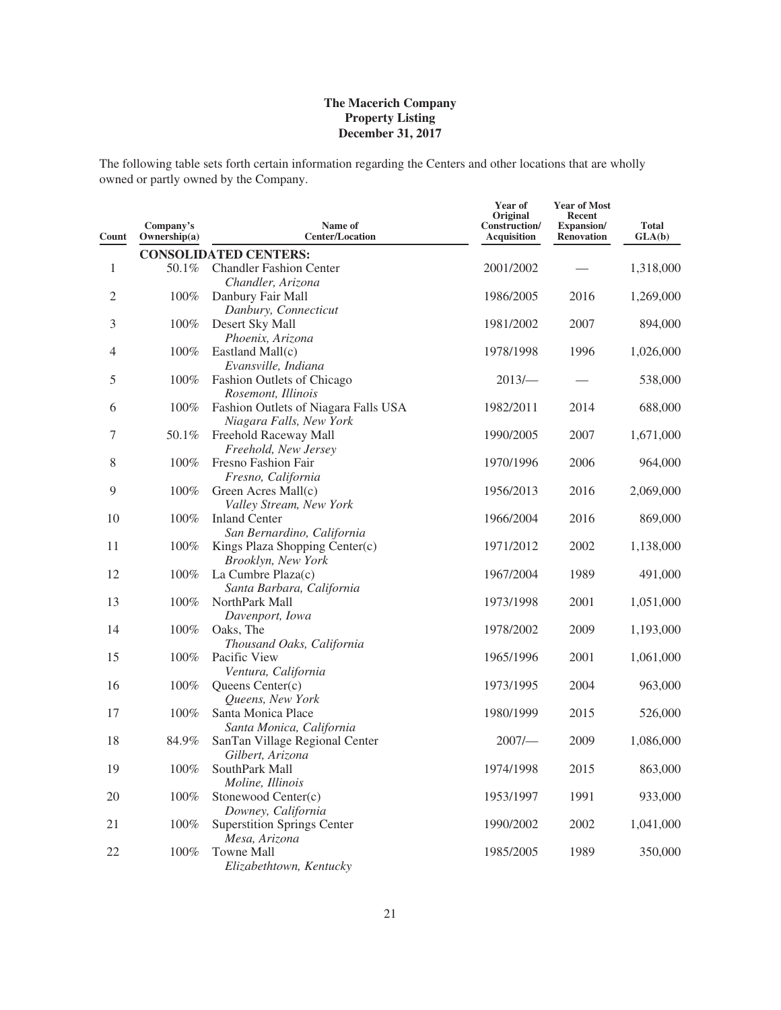The following table sets forth certain information regarding the Centers and other locations that are wholly owned or partly owned by the Company.

| Count          | Company's<br>Ownership(a) | Name of<br><b>Center/Location</b>                               | Year of<br>Original<br>Construction/<br><b>Acquisition</b> | <b>Year of Most</b><br>Recent<br>Expansion/<br><b>Renovation</b> | <b>Total</b><br>GLA(b) |
|----------------|---------------------------|-----------------------------------------------------------------|------------------------------------------------------------|------------------------------------------------------------------|------------------------|
|                |                           | <b>CONSOLIDATED CENTERS:</b>                                    |                                                            |                                                                  |                        |
| $\mathbf{1}$   | 50.1%                     | <b>Chandler Fashion Center</b><br>Chandler, Arizona             | 2001/2002                                                  |                                                                  | 1,318,000              |
| $\overline{2}$ | 100%                      | Danbury Fair Mall<br>Danbury, Connecticut                       | 1986/2005                                                  | 2016                                                             | 1,269,000              |
| 3              | 100%                      | Desert Sky Mall<br>Phoenix, Arizona                             | 1981/2002                                                  | 2007                                                             | 894,000                |
| 4              | 100%                      | Eastland Mall(c)<br>Evansville, Indiana                         | 1978/1998                                                  | 1996                                                             | 1,026,000              |
| 5              | 100%                      | Fashion Outlets of Chicago<br>Rosemont, Illinois                | 2013/                                                      |                                                                  | 538,000                |
| 6              | 100%                      | Fashion Outlets of Niagara Falls USA<br>Niagara Falls, New York | 1982/2011                                                  | 2014                                                             | 688,000                |
| 7              | 50.1%                     | Freehold Raceway Mall<br>Freehold, New Jersey                   | 1990/2005                                                  | 2007                                                             | 1,671,000              |
| 8              | 100%                      | Fresno Fashion Fair<br>Fresno, California                       | 1970/1996                                                  | 2006                                                             | 964,000                |
| 9              | 100%                      | Green Acres Mall(c)<br>Valley Stream, New York                  | 1956/2013                                                  | 2016                                                             | 2,069,000              |
| 10             | 100%                      | <b>Inland Center</b><br>San Bernardino, California              | 1966/2004                                                  | 2016                                                             | 869,000                |
| 11             | 100%                      | Kings Plaza Shopping Center(c)<br>Brooklyn, New York            | 1971/2012                                                  | 2002                                                             | 1,138,000              |
| 12             | 100%                      | La Cumbre Plaza(c)<br>Santa Barbara, California                 | 1967/2004                                                  | 1989                                                             | 491,000                |
| 13             | 100%                      | NorthPark Mall<br>Davenport, Iowa                               | 1973/1998                                                  | 2001                                                             | 1,051,000              |
| 14             | 100%                      | Oaks, The<br>Thousand Oaks, California                          | 1978/2002                                                  | 2009                                                             | 1,193,000              |
| 15             | 100%                      | Pacific View<br>Ventura, California                             | 1965/1996                                                  | 2001                                                             | 1,061,000              |
| 16             | 100%                      | Queens Center(c)<br>Queens, New York                            | 1973/1995                                                  | 2004                                                             | 963,000                |
| 17             | 100%                      | Santa Monica Place<br>Santa Monica, California                  | 1980/1999                                                  | 2015                                                             | 526,000                |
| 18             | 84.9%                     | SanTan Village Regional Center<br>Gilbert, Arizona              | 2007/                                                      | 2009                                                             | 1,086,000              |
| 19             | 100%                      | SouthPark Mall<br>Moline, Illinois                              | 1974/1998                                                  | 2015                                                             | 863,000                |
| 20             | 100%                      | Stonewood Center(c)<br>Downey, California                       | 1953/1997                                                  | 1991                                                             | 933,000                |
| 21             | 100%                      | <b>Superstition Springs Center</b><br>Mesa, Arizona             | 1990/2002                                                  | 2002                                                             | 1,041,000              |
| 22             | 100%                      | Towne Mall<br>Elizabethtown, Kentucky                           | 1985/2005                                                  | 1989                                                             | 350,000                |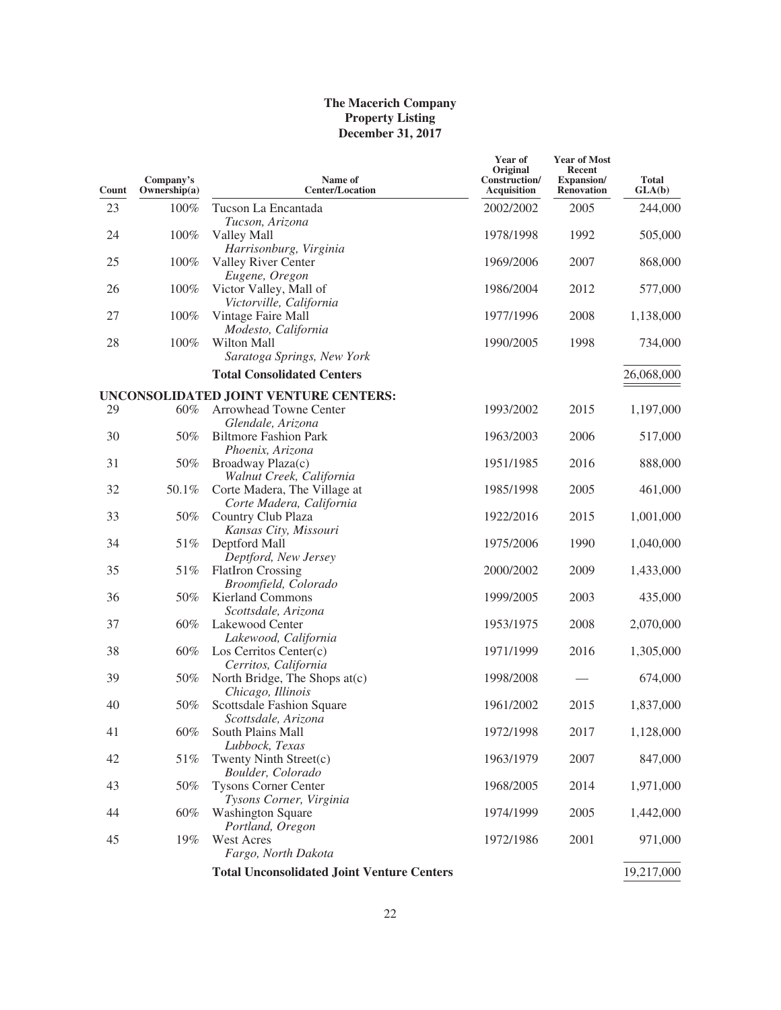| Count | Company's<br>Ownership(a) | Name of<br><b>Center/Location</b>                                                    | Year of<br>Original<br>Construction/<br><b>Acquisition</b> | <b>Year of Most</b><br><b>Recent</b><br>Expansion/<br><b>Renovation</b> | <b>Total</b><br>GLA(b) |
|-------|---------------------------|--------------------------------------------------------------------------------------|------------------------------------------------------------|-------------------------------------------------------------------------|------------------------|
| 23    | 100%                      | Tucson La Encantada<br>Tucson, Arizona                                               | 2002/2002                                                  | 2005                                                                    | 244,000                |
| 24    | 100%                      | Valley Mall<br>Harrisonburg, Virginia                                                | 1978/1998                                                  | 1992                                                                    | 505,000                |
| 25    | 100%                      | Valley River Center<br>Eugene, Oregon                                                | 1969/2006                                                  | 2007                                                                    | 868,000                |
| 26    | 100%                      | Victor Valley, Mall of<br>Victorville, California                                    | 1986/2004                                                  | 2012                                                                    | 577,000                |
| 27    | 100%                      | Vintage Faire Mall<br>Modesto, California                                            | 1977/1996                                                  | 2008                                                                    | 1,138,000              |
| 28    | 100%                      | Wilton Mall<br>Saratoga Springs, New York                                            | 1990/2005                                                  | 1998                                                                    | 734,000                |
|       |                           | <b>Total Consolidated Centers</b>                                                    |                                                            |                                                                         | 26,068,000             |
| 29    | 60%                       | UNCONSOLIDATED JOINT VENTURE CENTERS:<br>Arrowhead Towne Center                      | 1993/2002                                                  | 2015                                                                    |                        |
|       |                           | Glendale, Arizona                                                                    |                                                            |                                                                         | 1,197,000              |
| 30    | 50%                       | <b>Biltmore Fashion Park</b><br>Phoenix, Arizona                                     | 1963/2003                                                  | 2006                                                                    | 517,000                |
| 31    | 50%                       | Broadway Plaza(c)                                                                    | 1951/1985                                                  | 2016                                                                    | 888,000                |
| 32    | 50.1%                     | Walnut Creek, California<br>Corte Madera, The Village at<br>Corte Madera, California | 1985/1998                                                  | 2005                                                                    | 461,000                |
| 33    | 50%                       | Country Club Plaza<br>Kansas City, Missouri                                          | 1922/2016                                                  | 2015                                                                    | 1,001,000              |
| 34    | 51%                       | Deptford Mall<br>Deptford, New Jersey                                                | 1975/2006                                                  | 1990                                                                    | 1,040,000              |
| 35    | 51%                       | <b>FlatIron Crossing</b><br>Broomfield, Colorado                                     | 2000/2002                                                  | 2009                                                                    | 1,433,000              |
| 36    | 50%                       | <b>Kierland Commons</b><br>Scottsdale, Arizona                                       | 1999/2005                                                  | 2003                                                                    | 435,000                |
| 37    | 60%                       | Lakewood Center<br>Lakewood, California                                              | 1953/1975                                                  | 2008                                                                    | 2,070,000              |
| 38    | 60%                       | Los Cerritos Center $(c)$<br>Cerritos, California                                    | 1971/1999                                                  | 2016                                                                    | 1,305,000              |
| 39    | 50%                       | North Bridge, The Shops at(c)<br>Chicago, Illinois                                   | 1998/2008                                                  |                                                                         | 674,000                |
| 40    | 50%                       | Scottsdale Fashion Square<br>Scottsdale, Arizona                                     | 1961/2002                                                  | 2015                                                                    | 1,837,000              |
| 41    | 60%                       | South Plains Mall<br>Lubbock, Texas                                                  | 1972/1998                                                  | 2017                                                                    | 1,128,000              |
| 42    | 51%                       | Twenty Ninth Street(c)<br>Boulder, Colorado                                          | 1963/1979                                                  | 2007                                                                    | 847,000                |
| 43    | 50%                       | <b>Tysons Corner Center</b><br>Tysons Corner, Virginia                               | 1968/2005                                                  | 2014                                                                    | 1,971,000              |
| 44    | 60%                       | <b>Washington Square</b><br>Portland, Oregon                                         | 1974/1999                                                  | 2005                                                                    | 1,442,000              |
| 45    | 19%                       | West Acres<br>Fargo, North Dakota                                                    | 1972/1986                                                  | 2001                                                                    | 971,000                |
|       |                           | <b>Total Unconsolidated Joint Venture Centers</b>                                    |                                                            |                                                                         | 19,217,000             |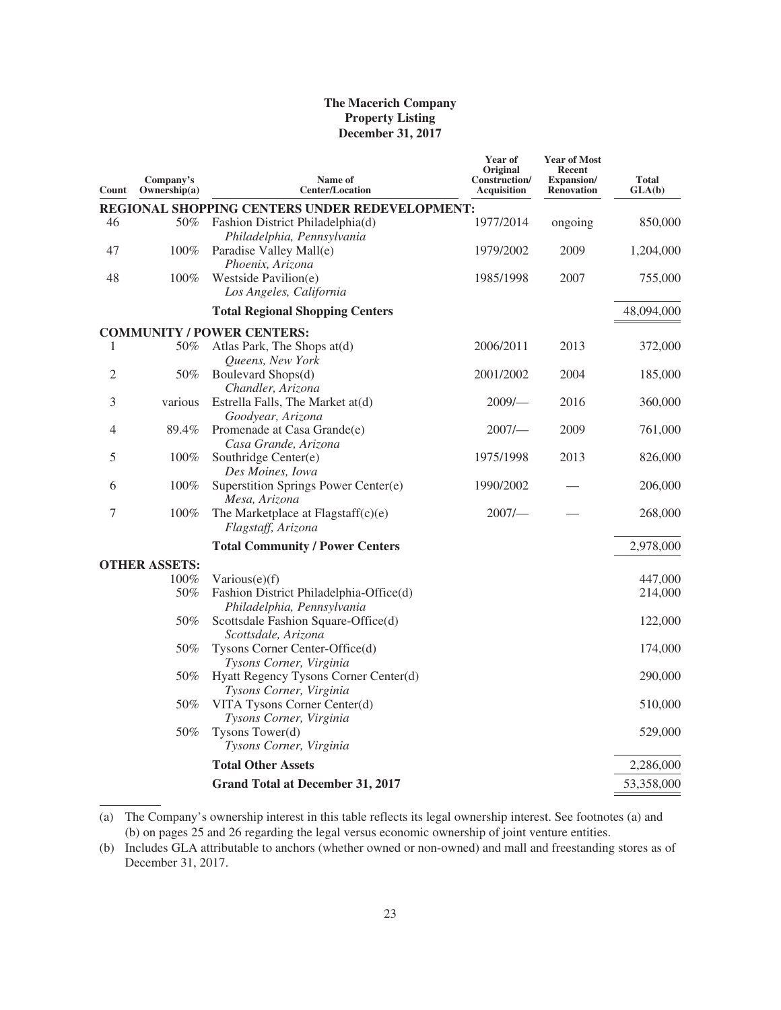| Count | Company's<br>Ownership(a) | Name of<br><b>Center/Location</b>                                         | Year of<br>Original<br>Construction/<br><b>Acquisition</b> | <b>Year of Most</b><br><b>Recent</b><br>Expansion/<br><b>Renovation</b> | <b>Total</b><br>GLA(b) |
|-------|---------------------------|---------------------------------------------------------------------------|------------------------------------------------------------|-------------------------------------------------------------------------|------------------------|
|       |                           | REGIONAL SHOPPING CENTERS UNDER REDEVELOPMENT:                            |                                                            |                                                                         |                        |
| 46    | 50%                       | Fashion District Philadelphia(d)                                          | 1977/2014                                                  | ongoing                                                                 | 850,000                |
| 47    | $100\%$                   | Philadelphia, Pennsylvania<br>Paradise Valley Mall(e)<br>Phoenix, Arizona | 1979/2002                                                  | 2009                                                                    | 1,204,000              |
| 48    | $100\%$                   | Westside Pavilion(e)<br>Los Angeles, California                           | 1985/1998                                                  | 2007                                                                    | 755,000                |
|       |                           | <b>Total Regional Shopping Centers</b>                                    |                                                            |                                                                         | 48,094,000             |
|       |                           | <b>COMMUNITY / POWER CENTERS:</b>                                         |                                                            |                                                                         |                        |
| 1     | 50%                       | Atlas Park, The Shops at(d)<br>Queens, New York                           | 2006/2011                                                  | 2013                                                                    | 372,000                |
| 2     | 50%                       | Boulevard Shops(d)<br>Chandler, Arizona                                   | 2001/2002                                                  | 2004                                                                    | 185,000                |
| 3     | various                   | Estrella Falls, The Market at(d)<br>Goodyear, Arizona                     | $2009/-$                                                   | 2016                                                                    | 360,000                |
| 4     | 89.4%                     | Promenade at Casa Grande(e)<br>Casa Grande, Arizona                       | 2007/                                                      | 2009                                                                    | 761,000                |
| 5     | 100%                      | Southridge Center(e)<br>Des Moines, Iowa                                  | 1975/1998                                                  | 2013                                                                    | 826,000                |
| 6     | 100%                      | Superstition Springs Power Center(e)<br>Mesa, Arizona                     | 1990/2002                                                  |                                                                         | 206,000                |
| 7     | 100%                      | The Marketplace at Flagstaff $(c)(e)$<br>Flagstaff, Arizona               | 2007/                                                      |                                                                         | 268,000                |
|       |                           | <b>Total Community / Power Centers</b>                                    |                                                            |                                                                         | 2,978,000              |
|       | <b>OTHER ASSETS:</b>      |                                                                           |                                                            |                                                                         |                        |
|       | 100%                      | Various $(e)(f)$                                                          |                                                            |                                                                         | 447,000                |
|       | 50%                       | Fashion District Philadelphia-Office(d)<br>Philadelphia, Pennsylvania     |                                                            |                                                                         | 214,000                |
|       | 50%                       | Scottsdale Fashion Square-Office(d)<br>Scottsdale, Arizona                |                                                            |                                                                         | 122,000                |
|       | 50%                       | Tysons Corner Center-Office(d)<br>Tysons Corner, Virginia                 |                                                            |                                                                         | 174,000                |
|       | 50%                       | Hyatt Regency Tysons Corner Center(d)<br>Tysons Corner, Virginia          |                                                            |                                                                         | 290,000                |
|       | 50%                       | VITA Tysons Corner Center(d)<br>Tysons Corner, Virginia                   |                                                            |                                                                         | 510,000                |
|       | 50%                       | Tysons Tower(d)<br>Tysons Corner, Virginia                                |                                                            |                                                                         | 529,000                |
|       |                           | <b>Total Other Assets</b>                                                 |                                                            |                                                                         | 2,286,000              |
|       |                           | <b>Grand Total at December 31, 2017</b>                                   |                                                            |                                                                         | 53,358,000             |
|       |                           |                                                                           |                                                            |                                                                         |                        |

<sup>(</sup>a) The Company's ownership interest in this table reflects its legal ownership interest. See footnotes (a) and (b) on pages 25 and 26 regarding the legal versus economic ownership of joint venture entities.

<sup>(</sup>b) Includes GLA attributable to anchors (whether owned or non-owned) and mall and freestanding stores as of December 31, 2017.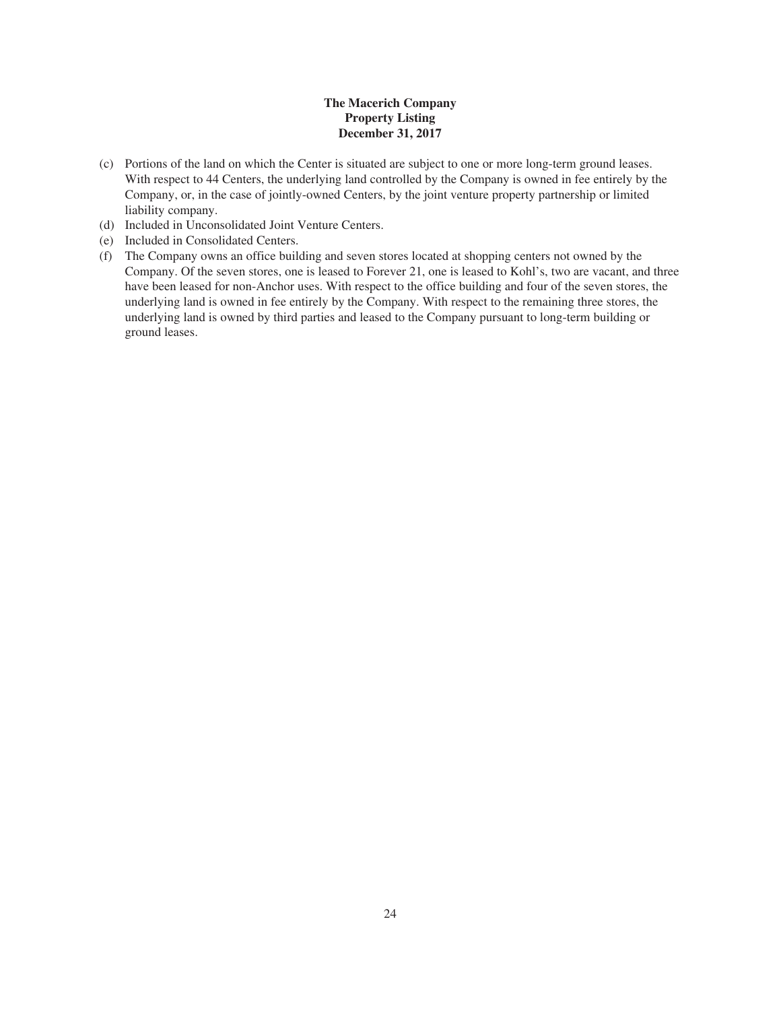- (c) Portions of the land on which the Center is situated are subject to one or more long-term ground leases. With respect to 44 Centers, the underlying land controlled by the Company is owned in fee entirely by the Company, or, in the case of jointly-owned Centers, by the joint venture property partnership or limited liability company.
- (d) Included in Unconsolidated Joint Venture Centers.
- (e) Included in Consolidated Centers.
- (f) The Company owns an office building and seven stores located at shopping centers not owned by the Company. Of the seven stores, one is leased to Forever 21, one is leased to Kohl's, two are vacant, and three have been leased for non-Anchor uses. With respect to the office building and four of the seven stores, the underlying land is owned in fee entirely by the Company. With respect to the remaining three stores, the underlying land is owned by third parties and leased to the Company pursuant to long-term building or ground leases.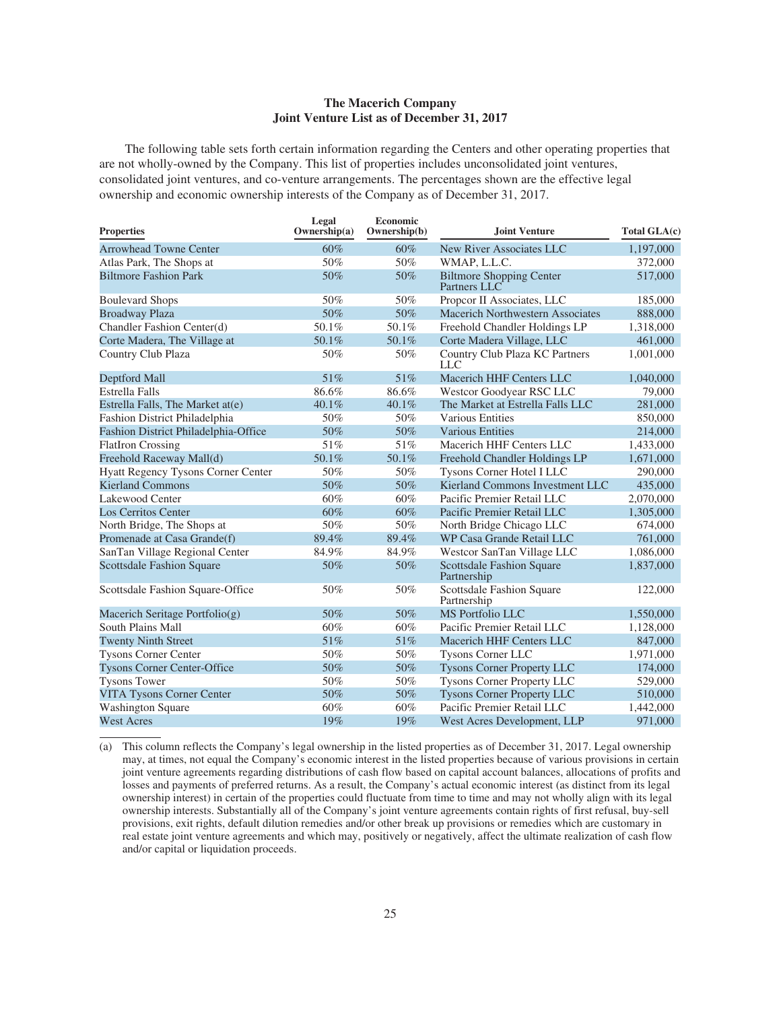### **The Macerich Company Joint Venture List as of December 31, 2017**

The following table sets forth certain information regarding the Centers and other operating properties that are not wholly-owned by the Company. This list of properties includes unconsolidated joint ventures, consolidated joint ventures, and co-venture arrangements. The percentages shown are the effective legal ownership and economic ownership interests of the Company as of December 31, 2017.

| <b>Properties</b>                         | Legal<br>Ownership(a) | <b>Economic</b><br>Ownership(b) | Joint Venture                                   | Total GLA(c) |
|-------------------------------------------|-----------------------|---------------------------------|-------------------------------------------------|--------------|
| <b>Arrowhead Towne Center</b>             | 60%                   | 60%                             | New River Associates LLC                        | 1,197,000    |
| Atlas Park, The Shops at                  | 50%                   | 50%                             | WMAP, L.L.C.                                    | 372,000      |
| <b>Biltmore Fashion Park</b>              | 50%                   | 50%                             | <b>Biltmore Shopping Center</b><br>Partners LLC | 517,000      |
| <b>Boulevard Shops</b>                    | 50%                   | 50%                             | Propcor II Associates, LLC                      | 185,000      |
| <b>Broadway Plaza</b>                     | 50%                   | 50%                             | <b>Macerich Northwestern Associates</b>         | 888,000      |
| Chandler Fashion Center(d)                | 50.1%                 | $50.1\%$                        | Freehold Chandler Holdings LP                   | 1,318,000    |
| Corte Madera, The Village at              | 50.1%                 | 50.1%                           | Corte Madera Village, LLC                       | 461,000      |
| Country Club Plaza                        | 50%                   | 50%                             | Country Club Plaza KC Partners<br><b>LLC</b>    | 1,001,000    |
| Deptford Mall                             | 51%                   | 51%                             | <b>Macerich HHF Centers LLC</b>                 | 1,040,000    |
| <b>Estrella Falls</b>                     | 86.6%                 | 86.6%                           | Westcor Goodyear RSC LLC                        | 79,000       |
| Estrella Falls, The Market at(e)          | 40.1%                 | 40.1%                           | The Market at Estrella Falls LLC                | 281,000      |
| Fashion District Philadelphia             | 50%                   | 50%                             | Various Entities                                | 850,000      |
| Fashion District Philadelphia-Office      | 50%                   | 50%                             | <b>Various Entities</b>                         | 214,000      |
| <b>FlatIron Crossing</b>                  | 51%                   | 51%                             | Macerich HHF Centers LLC                        | 1,433,000    |
| Freehold Raceway Mall(d)                  | 50.1%                 | 50.1%                           | Freehold Chandler Holdings LP                   | 1,671,000    |
| <b>Hyatt Regency Tysons Corner Center</b> | 50%                   | 50%                             | Tysons Corner Hotel I LLC                       | 290,000      |
| <b>Kierland Commons</b>                   | 50%                   | 50%                             | Kierland Commons Investment LLC                 | 435,000      |
| Lakewood Center                           | 60%                   | 60%                             | Pacific Premier Retail LLC                      | 2,070,000    |
| <b>Los Cerritos Center</b>                | 60%                   | 60%                             | Pacific Premier Retail LLC                      | 1,305,000    |
| North Bridge, The Shops at                | 50%                   | 50%                             | North Bridge Chicago LLC                        | 674,000      |
| Promenade at Casa Grande(f)               | 89.4%                 | 89.4%                           | WP Casa Grande Retail LLC                       | 761,000      |
| SanTan Village Regional Center            | 84.9%                 | 84.9%                           | Westcor SanTan Village LLC                      | 1,086,000    |
| <b>Scottsdale Fashion Square</b>          | 50%                   | 50%                             | <b>Scottsdale Fashion Square</b><br>Partnership | 1,837,000    |
| Scottsdale Fashion Square-Office          | 50%                   | 50%                             | Scottsdale Fashion Square<br>Partnership        | 122,000      |
| Macerich Seritage Portfolio(g)            | 50%                   | 50%                             | MS Portfolio LLC                                | 1,550,000    |
| <b>South Plains Mall</b>                  | 60%                   | 60%                             | Pacific Premier Retail LLC                      | 1,128,000    |
| <b>Twenty Ninth Street</b>                | 51%                   | 51%                             | Macerich HHF Centers LLC                        | 847,000      |
| <b>Tysons Corner Center</b>               | 50%                   | 50%                             | Tysons Corner LLC                               | 1,971,000    |
| <b>Tysons Corner Center-Office</b>        | 50%                   | 50%                             | <b>Tysons Corner Property LLC</b>               | 174,000      |
| <b>Tysons Tower</b>                       | 50%                   | 50%                             | <b>Tysons Corner Property LLC</b>               | 529,000      |
| <b>VITA Tysons Corner Center</b>          | 50%                   | 50%                             | <b>Tysons Corner Property LLC</b>               | 510,000      |
| <b>Washington Square</b>                  | 60%                   | 60%                             | Pacific Premier Retail LLC                      | 1,442,000    |
| <b>West Acres</b>                         | 19%                   | 19%                             | West Acres Development, LLP                     | 971,000      |

(a) This column reflects the Company's legal ownership in the listed properties as of December 31, 2017. Legal ownership may, at times, not equal the Company's economic interest in the listed properties because of various provisions in certain joint venture agreements regarding distributions of cash flow based on capital account balances, allocations of profits and losses and payments of preferred returns. As a result, the Company's actual economic interest (as distinct from its legal ownership interest) in certain of the properties could fluctuate from time to time and may not wholly align with its legal ownership interests. Substantially all of the Company's joint venture agreements contain rights of first refusal, buy-sell provisions, exit rights, default dilution remedies and/or other break up provisions or remedies which are customary in real estate joint venture agreements and which may, positively or negatively, affect the ultimate realization of cash flow and/or capital or liquidation proceeds.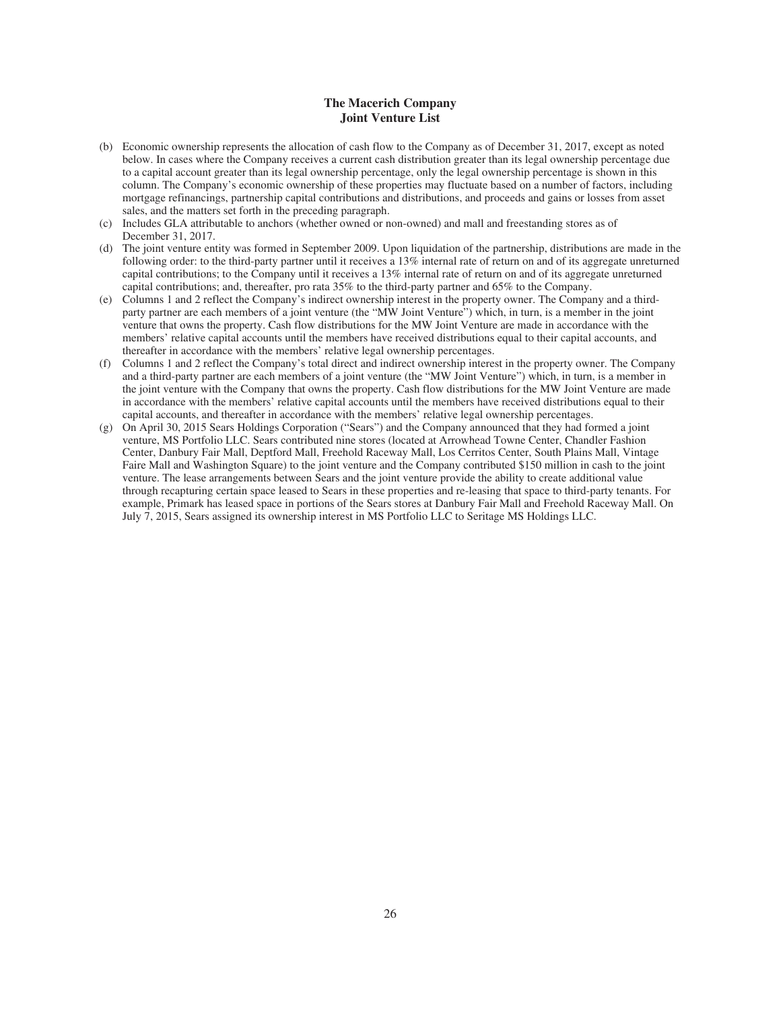### **The Macerich Company Joint Venture List**

- (b) Economic ownership represents the allocation of cash flow to the Company as of December 31, 2017, except as noted below. In cases where the Company receives a current cash distribution greater than its legal ownership percentage due to a capital account greater than its legal ownership percentage, only the legal ownership percentage is shown in this column. The Company's economic ownership of these properties may fluctuate based on a number of factors, including mortgage refinancings, partnership capital contributions and distributions, and proceeds and gains or losses from asset sales, and the matters set forth in the preceding paragraph.
- (c) Includes GLA attributable to anchors (whether owned or non-owned) and mall and freestanding stores as of December 31, 2017.
- (d) The joint venture entity was formed in September 2009. Upon liquidation of the partnership, distributions are made in the following order: to the third-party partner until it receives a 13% internal rate of return on and of its aggregate unreturned capital contributions; to the Company until it receives a 13% internal rate of return on and of its aggregate unreturned capital contributions; and, thereafter, pro rata 35% to the third-party partner and 65% to the Company.
- (e) Columns 1 and 2 reflect the Company's indirect ownership interest in the property owner. The Company and a thirdparty partner are each members of a joint venture (the "MW Joint Venture") which, in turn, is a member in the joint venture that owns the property. Cash flow distributions for the MW Joint Venture are made in accordance with the members' relative capital accounts until the members have received distributions equal to their capital accounts, and thereafter in accordance with the members' relative legal ownership percentages.
- (f) Columns 1 and 2 reflect the Company's total direct and indirect ownership interest in the property owner. The Company and a third-party partner are each members of a joint venture (the "MW Joint Venture") which, in turn, is a member in the joint venture with the Company that owns the property. Cash flow distributions for the MW Joint Venture are made in accordance with the members' relative capital accounts until the members have received distributions equal to their capital accounts, and thereafter in accordance with the members' relative legal ownership percentages.
- (g) On April 30, 2015 Sears Holdings Corporation ("Sears") and the Company announced that they had formed a joint venture, MS Portfolio LLC. Sears contributed nine stores (located at Arrowhead Towne Center, Chandler Fashion Center, Danbury Fair Mall, Deptford Mall, Freehold Raceway Mall, Los Cerritos Center, South Plains Mall, Vintage Faire Mall and Washington Square) to the joint venture and the Company contributed \$150 million in cash to the joint venture. The lease arrangements between Sears and the joint venture provide the ability to create additional value through recapturing certain space leased to Sears in these properties and re-leasing that space to third-party tenants. For example, Primark has leased space in portions of the Sears stores at Danbury Fair Mall and Freehold Raceway Mall. On July 7, 2015, Sears assigned its ownership interest in MS Portfolio LLC to Seritage MS Holdings LLC.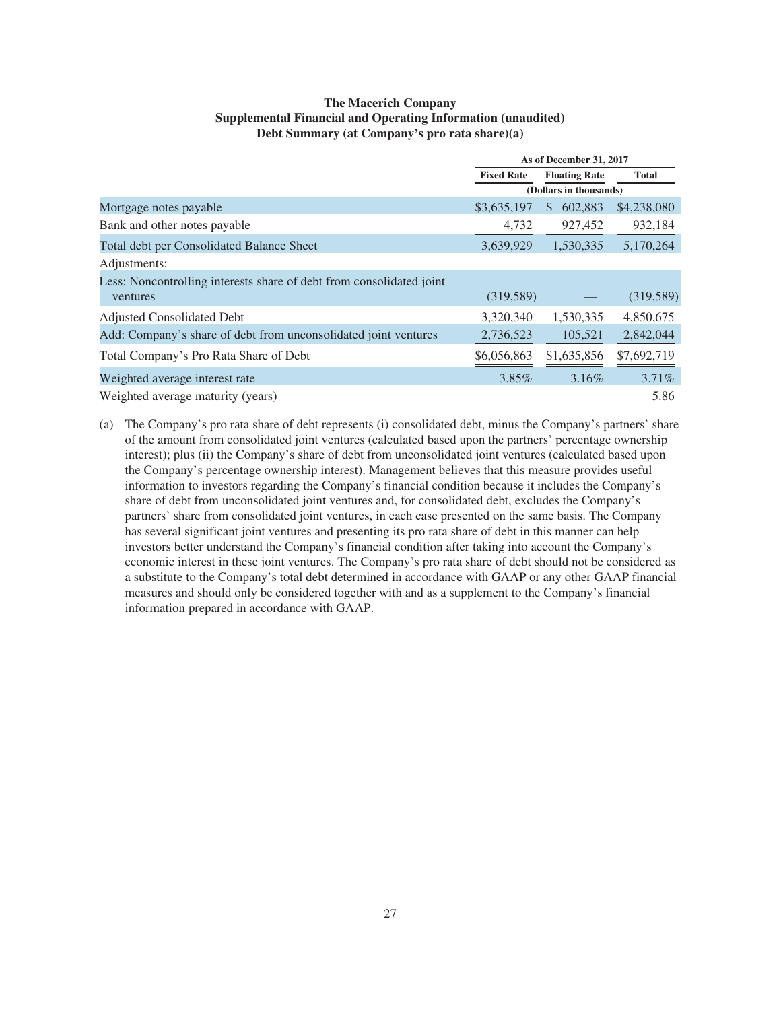### **The Macerich Company Supplemental Financial and Operating Information (unaudited) Debt Summary (at Company's pro rata share)(a)**

|                                                                      |                   | As of December 31, 2017 |              |
|----------------------------------------------------------------------|-------------------|-------------------------|--------------|
|                                                                      | <b>Fixed Rate</b> | <b>Floating Rate</b>    | <b>Total</b> |
|                                                                      |                   | (Dollars in thousands)  |              |
| Mortgage notes payable                                               | \$3,635,197       | 602,883<br>\$.          | \$4,238,080  |
| Bank and other notes payable                                         | 4,732             | 927,452                 | 932,184      |
| Total debt per Consolidated Balance Sheet                            | 3,639,929         | 1,530,335               | 5,170,264    |
| Adjustments:                                                         |                   |                         |              |
| Less: Noncontrolling interests share of debt from consolidated joint |                   |                         |              |
| ventures                                                             | (319, 589)        |                         | (319, 589)   |
| Adjusted Consolidated Debt                                           | 3,320,340         | 1,530,335               | 4,850,675    |
| Add: Company's share of debt from unconsolidated joint ventures      | 2,736,523         | 105,521                 | 2,842,044    |
| Total Company's Pro Rata Share of Debt                               | \$6,056,863       | \$1,635,856             | \$7,692,719  |
| Weighted average interest rate                                       | 3.85%             | 3.16%                   | 3.71%        |
| Weighted average maturity (years)                                    |                   |                         | 5.86         |

(a) The Company's pro rata share of debt represents (i) consolidated debt, minus the Company's partners' share of the amount from consolidated joint ventures (calculated based upon the partners' percentage ownership interest); plus (ii) the Company's share of debt from unconsolidated joint ventures (calculated based upon the Company's percentage ownership interest). Management believes that this measure provides useful information to investors regarding the Company's financial condition because it includes the Company's share of debt from unconsolidated joint ventures and, for consolidated debt, excludes the Company's partners' share from consolidated joint ventures, in each case presented on the same basis. The Company has several significant joint ventures and presenting its pro rata share of debt in this manner can help investors better understand the Company's financial condition after taking into account the Company's economic interest in these joint ventures. The Company's pro rata share of debt should not be considered as a substitute to the Company's total debt determined in accordance with GAAP or any other GAAP financial measures and should only be considered together with and as a supplement to the Company's financial information prepared in accordance with GAAP.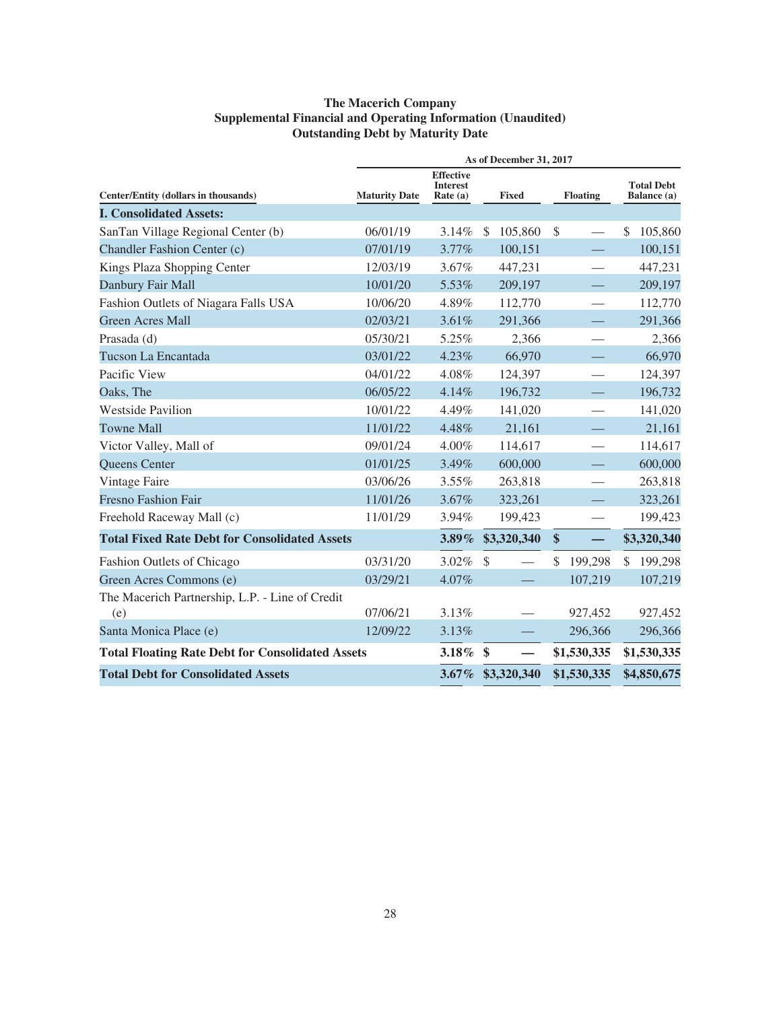### **The Macerich Company Supplemental Financial and Operating Information (Unaudited) Outstanding Debt by Maturity Date**

|                                                         |                      |                                                   | As of December 31, 2017 |        |               |                          |                                  |       |
|---------------------------------------------------------|----------------------|---------------------------------------------------|-------------------------|--------|---------------|--------------------------|----------------------------------|-------|
| Center/Entity (dollars in thousands)                    | <b>Maturity Date</b> | <b>Effective</b><br><b>Interest</b><br>Rate $(a)$ | <b>Fixed</b>            |        |               | <b>Floating</b>          | <b>Total Debt</b><br>Balance (a) |       |
| <b>I. Consolidated Assets:</b>                          |                      |                                                   |                         |        |               |                          |                                  |       |
| SanTan Village Regional Center (b)                      | 06/01/19             | 3.14%                                             | 105,860<br>-S           |        | $\mathcal{S}$ |                          | <sup>\$</sup><br>105,860         |       |
| Chandler Fashion Center (c)                             | 07/01/19             | 3.77%                                             | 100,151                 |        |               |                          | 100,151                          |       |
| Kings Plaza Shopping Center                             | 12/03/19             | 3.67%                                             | 447,231                 |        |               |                          | 447,231                          |       |
| Danbury Fair Mall                                       | 10/01/20             | 5.53%                                             | 209,197                 |        |               |                          | 209,197                          |       |
| Fashion Outlets of Niagara Falls USA                    | 10/06/20             | 4.89%                                             | 112,770                 |        |               |                          | 112,770                          |       |
| <b>Green Acres Mall</b>                                 | 02/03/21             | 3.61%                                             | 291,366                 |        |               |                          | 291,366                          |       |
| Prasada (d)                                             | 05/30/21             | 5.25%                                             |                         | 2,366  |               |                          |                                  | 2,366 |
| Tucson La Encantada                                     | 03/01/22             | 4.23%                                             |                         | 66,970 |               |                          | 66,970                           |       |
| Pacific View                                            | 04/01/22             | 4.08%                                             | 124,397                 |        |               |                          | 124,397                          |       |
| Oaks, The                                               | 06/05/22             | 4.14%                                             | 196,732                 |        |               |                          | 196,732                          |       |
| <b>Westside Pavilion</b>                                | 10/01/22             | 4.49%                                             | 141,020                 |        |               | $\overline{\phantom{0}}$ | 141,020                          |       |
| <b>Towne Mall</b>                                       | 11/01/22             | 4.48%                                             |                         | 21,161 |               |                          | 21,161                           |       |
| Victor Valley, Mall of                                  | 09/01/24             | 4.00%                                             | 114,617                 |        |               | —                        | 114,617                          |       |
| Queens Center                                           | 01/01/25             | 3.49%                                             | 600,000                 |        |               |                          | 600,000                          |       |
| Vintage Faire                                           | 03/06/26             | 3.55%                                             | 263,818                 |        |               |                          | 263,818                          |       |
| <b>Fresno Fashion Fair</b>                              | 11/01/26             | 3.67%                                             | 323,261                 |        |               |                          | 323,261                          |       |
| Freehold Raceway Mall (c)                               | 11/01/29             | 3.94%                                             | 199,423                 |        |               |                          | 199,423                          |       |
| <b>Total Fixed Rate Debt for Consolidated Assets</b>    |                      | $3.89\%$                                          | \$3,320,340             |        | $\$\$         |                          | \$3,320,340                      |       |
| Fashion Outlets of Chicago                              | 03/31/20             | 3.02%                                             | $\mathcal{S}$           |        | \$            | 199,298                  | 199,298<br>\$                    |       |
| Green Acres Commons (e)                                 | 03/29/21             | 4.07%                                             |                         |        |               | 107,219                  | 107,219                          |       |
| The Macerich Partnership, L.P. - Line of Credit         |                      |                                                   |                         |        |               |                          |                                  |       |
| (e)                                                     | 07/06/21             | 3.13%                                             |                         |        |               | 927,452                  | 927,452                          |       |
| Santa Monica Place (e)                                  | 12/09/22             | 3.13%                                             |                         |        |               | 296,366                  | 296,366                          |       |
| <b>Total Floating Rate Debt for Consolidated Assets</b> |                      | $3.18\%$                                          | $\mathbf{\$}$           |        |               | \$1,530,335              | \$1,530,335                      |       |
| <b>Total Debt for Consolidated Assets</b>               |                      |                                                   | 3.67% \$3,320,340       |        |               | \$1,530,335              | \$4,850,675                      |       |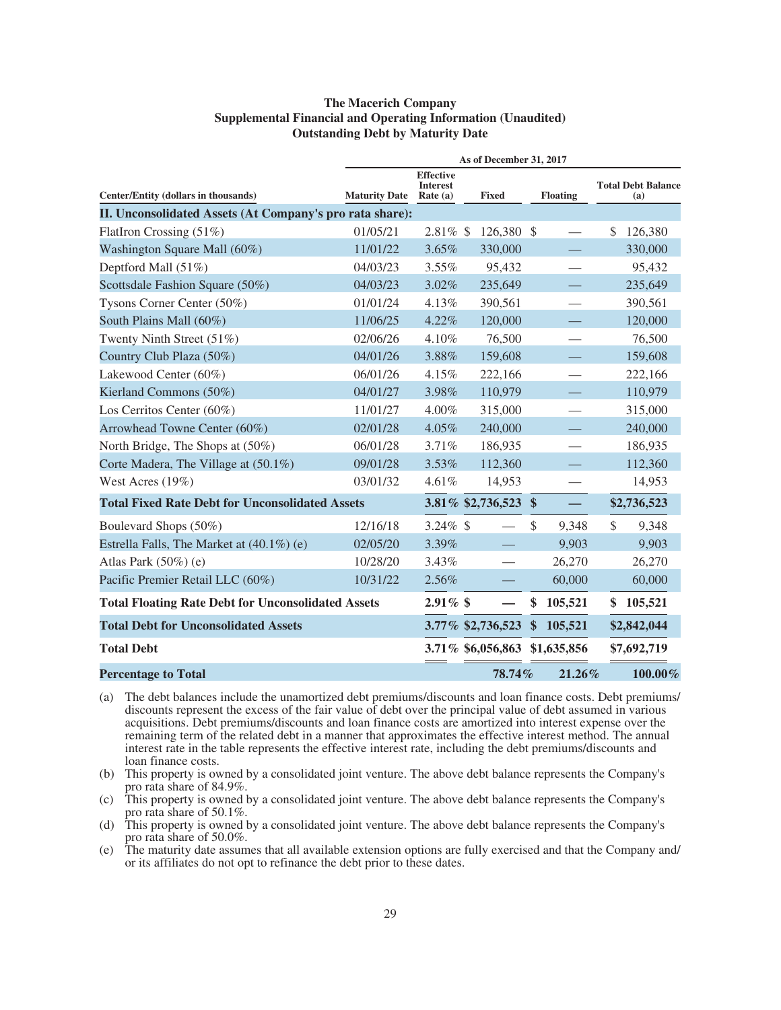### **The Macerich Company Supplemental Financial and Operating Information (Unaudited) Outstanding Debt by Maturity Date**

|                                                           |                      |                                                   | As of December 31, 2017 |               |                 |              |                                  |
|-----------------------------------------------------------|----------------------|---------------------------------------------------|-------------------------|---------------|-----------------|--------------|----------------------------------|
| Center/Entity (dollars in thousands)                      | <b>Maturity Date</b> | <b>Effective</b><br><b>Interest</b><br>Rate $(a)$ | <b>Fixed</b>            |               | <b>Floating</b> |              | <b>Total Debt Balance</b><br>(a) |
| II. Unconsolidated Assets (At Company's pro rata share):  |                      |                                                   |                         |               |                 |              |                                  |
| FlatIron Crossing (51%)                                   | 01/05/21             | $2.81\%$ \$                                       | 126,380 \$              |               |                 | \$           | 126,380                          |
| Washington Square Mall (60%)                              | 11/01/22             | 3.65%                                             | 330,000                 |               |                 |              | 330,000                          |
| Deptford Mall (51%)                                       | 04/03/23             | 3.55%                                             | 95,432                  |               |                 |              | 95,432                           |
| Scottsdale Fashion Square (50%)                           | 04/03/23             | 3.02%                                             | 235,649                 |               |                 |              | 235,649                          |
| Tysons Corner Center (50%)                                | 01/01/24             | 4.13%                                             | 390,561                 |               |                 |              | 390,561                          |
| South Plains Mall (60%)                                   | 11/06/25             | 4.22%                                             | 120,000                 |               |                 |              | 120,000                          |
| Twenty Ninth Street (51%)                                 | 02/06/26             | 4.10%                                             | 76,500                  |               |                 |              | 76,500                           |
| Country Club Plaza (50%)                                  | 04/01/26             | 3.88%                                             | 159,608                 |               |                 |              | 159,608                          |
| Lakewood Center (60%)                                     | 06/01/26             | 4.15%                                             | 222,166                 |               |                 |              | 222,166                          |
| Kierland Commons (50%)                                    | 04/01/27             | 3.98%                                             | 110,979                 |               |                 |              | 110,979                          |
| Los Cerritos Center (60%)                                 | 11/01/27             | 4.00%                                             | 315,000                 |               |                 |              | 315,000                          |
| Arrowhead Towne Center (60%)                              | 02/01/28             | 4.05%                                             | 240,000                 |               |                 |              | 240,000                          |
| North Bridge, The Shops at (50%)                          | 06/01/28             | 3.71%                                             | 186,935                 |               |                 |              | 186,935                          |
| Corte Madera, The Village at (50.1%)                      | 09/01/28             | 3.53%                                             | 112,360                 |               |                 |              | 112,360                          |
| West Acres $(19\%)$                                       | 03/01/32             | 4.61%                                             | 14,953                  |               |                 |              | 14,953                           |
| <b>Total Fixed Rate Debt for Unconsolidated Assets</b>    |                      |                                                   | 3.81% \$2,736,523       | $\mathbf{\$}$ | $\equiv$        |              | \$2,736,523                      |
| Boulevard Shops (50%)                                     | 12/16/18             | $3.24\%$ \$                                       |                         | $\mathcal{S}$ | 9,348           | $\mathbb{S}$ | 9,348                            |
| Estrella Falls, The Market at (40.1%) (e)                 | 02/05/20             | 3.39%                                             |                         |               | 9,903           |              | 9,903                            |
| Atlas Park $(50\%)$ (e)                                   | 10/28/20             | 3.43%                                             |                         |               | 26,270          |              | 26,270                           |
| Pacific Premier Retail LLC (60%)                          | 10/31/22             | 2.56%                                             |                         |               | 60,000          |              | 60,000                           |
| <b>Total Floating Rate Debt for Unconsolidated Assets</b> |                      | $2.91\%$ \$                                       |                         | \$            | 105,521         | \$           | 105,521                          |
| <b>Total Debt for Unconsolidated Assets</b>               |                      |                                                   | 3.77% \$2,736,523       | \$            | 105,521         |              | \$2,842,044                      |
| <b>Total Debt</b>                                         |                      |                                                   | 3.71% \$6,056,863       |               | \$1,635,856     |              | \$7,692,719                      |
| <b>Percentage to Total</b>                                |                      |                                                   | 78.74%                  |               | $21.26\%$       |              | 100.00%                          |

(a) The debt balances include the unamortized debt premiums/discounts and loan finance costs. Debt premiums/ discounts represent the excess of the fair value of debt over the principal value of debt assumed in various acquisitions. Debt premiums/discounts and loan finance costs are amortized into interest expense over the remaining term of the related debt in a manner that approximates the effective interest method. The annual interest rate in the table represents the effective interest rate, including the debt premiums/discounts and loan finance costs.

- (b) This property is owned by a consolidated joint venture. The above debt balance represents the Company's pro rata share of 84.9%.
- (c) This property is owned by a consolidated joint venture. The above debt balance represents the Company's pro rata share of 50.1%.
- (d) This property is owned by a consolidated joint venture. The above debt balance represents the Company's pro rata share of 50.0%.
- (e) The maturity date assumes that all available extension options are fully exercised and that the Company and/ or its affiliates do not opt to refinance the debt prior to these dates.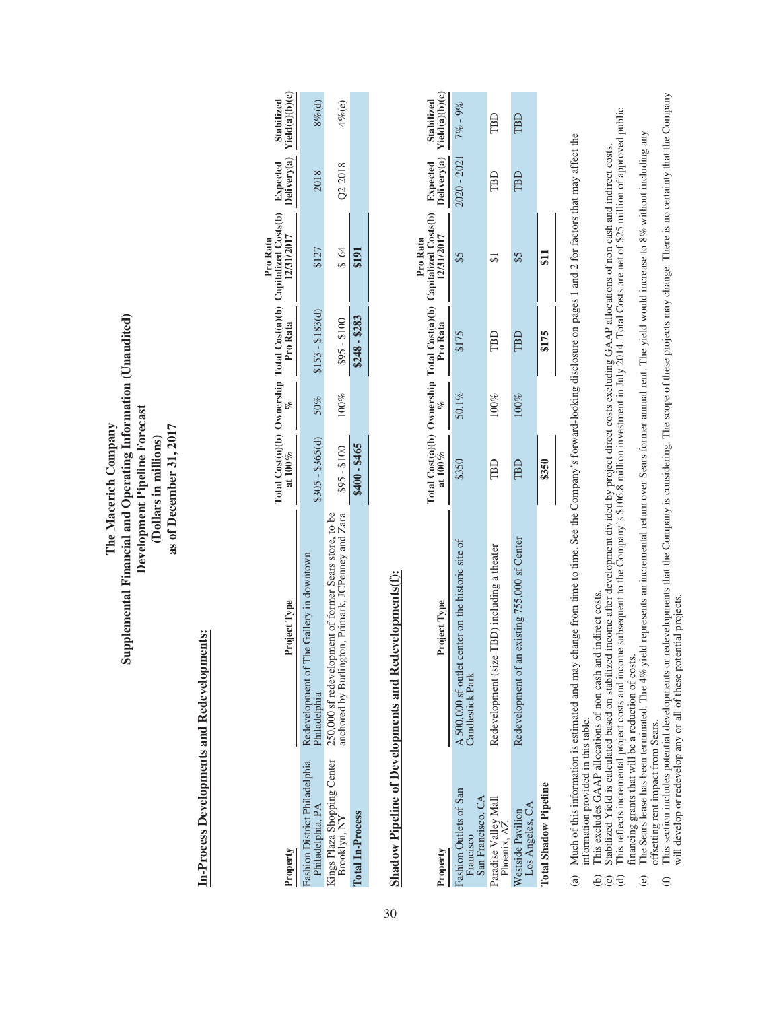Supplemental Financial and Operating Information (Unaudited) **Supplemental Financial and Operating Information (Unaudited)** Development Pipeline Forecast **Development Pipeline Forecast** The Macerich Company as of December 31, 2017 **The Macerich Company as of December 31, 2017** (Dollars in millions) **(Dollars in millions)**

## In-Process Developments and Redevelopments: **In-Process Developments and Redevelopments:**

| Property                                                      | Project Type                                                                                   |                                         |         |               | Total Cost(a)(b) Ownership Total Cost(a)(b) Capitalized Costs(b) Expected Stabilized<br>at 100% $\frac{\%}{\%}$ Pro Rata 12/31/2017 Delivery(a) Yield(a)(b)(c)<br>Pro Rata |         |           |
|---------------------------------------------------------------|------------------------------------------------------------------------------------------------|-----------------------------------------|---------|---------------|----------------------------------------------------------------------------------------------------------------------------------------------------------------------------|---------|-----------|
| <sup>-</sup> ashion District Philadelphia<br>Philadelphia, PA | Redevelopment of The Gallery in downtow<br>Philadelphia                                        | $305 - $365(d)$ $50\%$ $$153 - $183(d)$ |         |               | \$127                                                                                                                                                                      | 2018    | $8%$ (d)  |
|                                                               | Kings Plaza Shopping Center 250,000 sf redevelopment of former Sears store, to be Brooklyn, NY | $$95 - $100$                            | $100\%$ | $$95 - $100$  | 88                                                                                                                                                                         | Q2 2018 | $4\%$ (e) |
| Total In-Process                                              |                                                                                                | \$400 - \$465                           |         | $$248 - $283$ |                                                                                                                                                                            |         |           |

 $\sim$   $\blacksquare$ 

# Shadow Pipeline of Developments and Redevelopments(f): **Shadow Pipeline of Developments and Redevelopments(f):**

|                                                                      |                                                                        |       |       |       | Pro Rata                                                                                                                   |                          |                              |
|----------------------------------------------------------------------|------------------------------------------------------------------------|-------|-------|-------|----------------------------------------------------------------------------------------------------------------------------|--------------------------|------------------------------|
| Property                                                             | Project Type                                                           |       |       |       | rotal Cost(a)(b) Ownership Total Cost(a)(b) Capitalized Costs(b) Expected at 100% ( $\%$ Pro Rata 12/31/2017 Delivery(a) T |                          | Stabilized<br>Yield(a)(b)(c) |
| <sup>7</sup> ashion Outlets of San<br>San Francisco, CA<br>Francisco | A 500,000 sf outlet center on the historic site of<br>Candlestick Park | \$350 | 50.1% | \$175 |                                                                                                                            | $020 - 2021$ $7\% - 9\%$ |                              |
| Paradise Valley Mall<br>Phoenix, AZ                                  | Redevelopment (size TBD) including a theater                           | TBD   | 100%  | TBD   |                                                                                                                            | TBD                      | TBD                          |
| Westside Pavilion<br>Los Angeles, CA                                 | Redevelopment of an existing 755,000 sf Center                         | TBD   | 100%  | TBD   |                                                                                                                            | TBD                      | TBD                          |
| <b>Total Shadow Pipeline</b>                                         |                                                                        | \$350 |       | \$175 | $\overline{\mathbf{S}}$                                                                                                    |                          |                              |
|                                                                      |                                                                        |       |       |       |                                                                                                                            |                          |                              |

Much of this information is estimated and may change from time to time. See the Company's forward-looking disclosure on pages 1 and 2 for factors that may affect the (a) Much of this information is estimated and may change from time to time. See the Company's forward-looking disclosure on pages 1 and 2 for factors that may affect the information provided in this table. information provided in this table.  $\widehat{a}$ 

(b) This excludes GAAP allocations of non cash and indirect costs.

This excludes GAAP allocations of non cash and indirect costs.<br>Stabilized Yield is calculated based on stabilized income after development divided by project direct costs excluding GAAP allocations of non cash and indirect (c) Stabilized Yield is calculated based on stabilized income after development divided by project direct costs excluding GAAP allocations of non cash and indirect costs. ece

(d) This reflects incremental project costs and income subsequent to the Company's \$106.8 million investment in July 2014. Total Costs are net of \$25 million of approved public financing grants that will be a reduction of costs. financing grants that will be a reduction of costs.

The Sears lease has been terminated. The 4% yield represents an incremental return over Sears former annual rent. The yield would increase to 8% without including any (e) The Sears lease has been terminated. The 4% yield represents an incremental return over Sears former annual rent. The yield would increase to 8% without including any offsetting rent impact from Sears. offsetting rent impact from Sears.  $\odot$ 

This section includes potential developments or redevelopments that the Company is considering. The scope of these projects may change. There is no certainty that the Company will develop or redevelop any or all of these p (f) This section includes potential developments or redevelopments that the Company is considering. The scope of these projects may change. There is no certainty that the Company will develop or redevelop any or all of these potential projects.  $\oplus$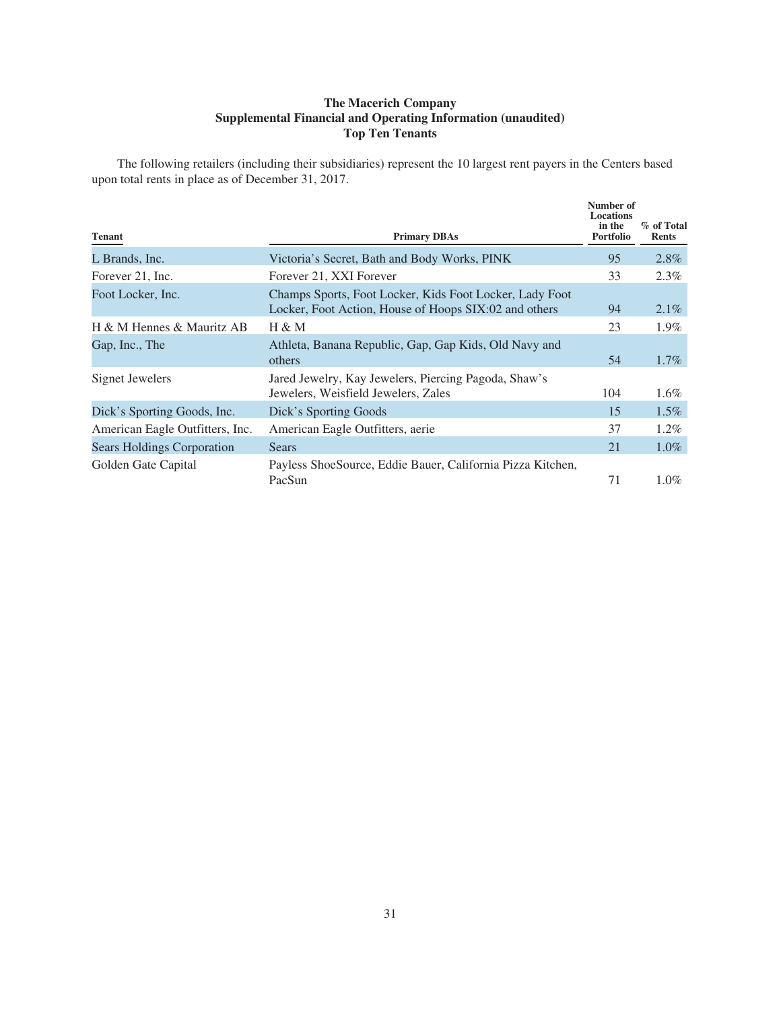### **The Macerich Company Supplemental Financial and Operating Information (unaudited) Top Ten Tenants**

The following retailers (including their subsidiaries) represent the 10 largest rent payers in the Centers based upon total rents in place as of December 31, 2017.

| <b>Tenant</b>                     | <b>Primary DBAs</b>                                                                                              | Number of<br><b>Locations</b><br>in the<br><b>Portfolio</b> | % of Total<br><b>Rents</b> |
|-----------------------------------|------------------------------------------------------------------------------------------------------------------|-------------------------------------------------------------|----------------------------|
| L Brands, Inc.                    | Victoria's Secret, Bath and Body Works, PINK                                                                     | 95                                                          | $2.8\%$                    |
| Forever 21, Inc.                  | Forever 21, XXI Forever                                                                                          | 33                                                          | 2.3%                       |
| Foot Locker, Inc.                 | Champs Sports, Foot Locker, Kids Foot Locker, Lady Foot<br>Locker, Foot Action, House of Hoops SIX:02 and others | 94                                                          | $2.1\%$                    |
| H & M Hennes & Mauritz AB         | H & M                                                                                                            | 23                                                          | $1.9\%$                    |
| Gap, Inc., The                    | Athleta, Banana Republic, Gap, Gap Kids, Old Navy and<br>others                                                  | 54                                                          | $1.7\%$                    |
| Signet Jewelers                   | Jared Jewelry, Kay Jewelers, Piercing Pagoda, Shaw's<br>Jewelers, Weisfield Jewelers, Zales                      | 104                                                         | $1.6\%$                    |
| Dick's Sporting Goods, Inc.       | Dick's Sporting Goods                                                                                            | 15                                                          | $1.5\%$                    |
| American Eagle Outfitters, Inc.   | American Eagle Outfitters, aerie                                                                                 | 37                                                          | $1.2\%$                    |
| <b>Sears Holdings Corporation</b> | Sears                                                                                                            | 21                                                          | $1.0\%$                    |
| Golden Gate Capital               | Payless ShoeSource, Eddie Bauer, California Pizza Kitchen,<br>PacSun                                             | 71                                                          | $1.0\%$                    |